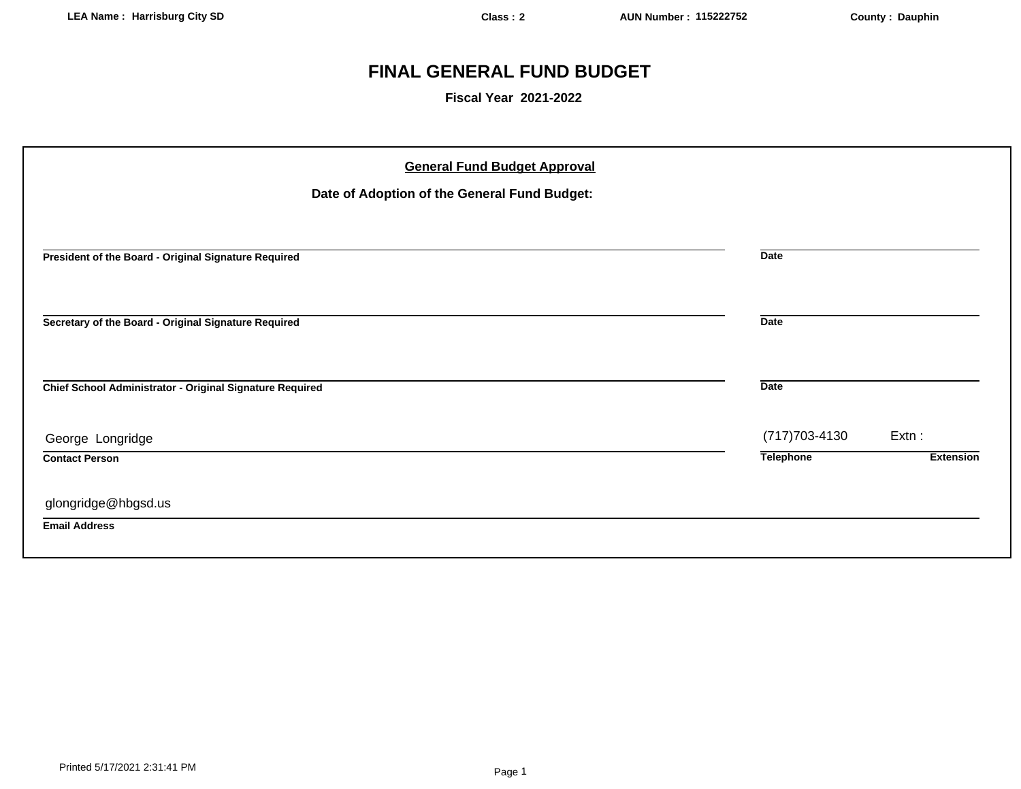# **FINAL GENERAL FUND BUDGET**

**Fiscal Year 2021-2022**

| <b>General Fund Budget Approval</b><br>Date of Adoption of the General Fund Budget: |                  |                  |
|-------------------------------------------------------------------------------------|------------------|------------------|
| President of the Board - Original Signature Required                                | <b>Date</b>      |                  |
| Secretary of the Board - Original Signature Required                                | <b>Date</b>      |                  |
| Chief School Administrator - Original Signature Required                            | <b>Date</b>      |                  |
| George Longridge                                                                    | (717) 703-4130   | $Extn$ :         |
| <b>Contact Person</b>                                                               | <b>Telephone</b> | <b>Extension</b> |
| glongridge@hbgsd.us                                                                 |                  |                  |
| <b>Email Address</b>                                                                |                  |                  |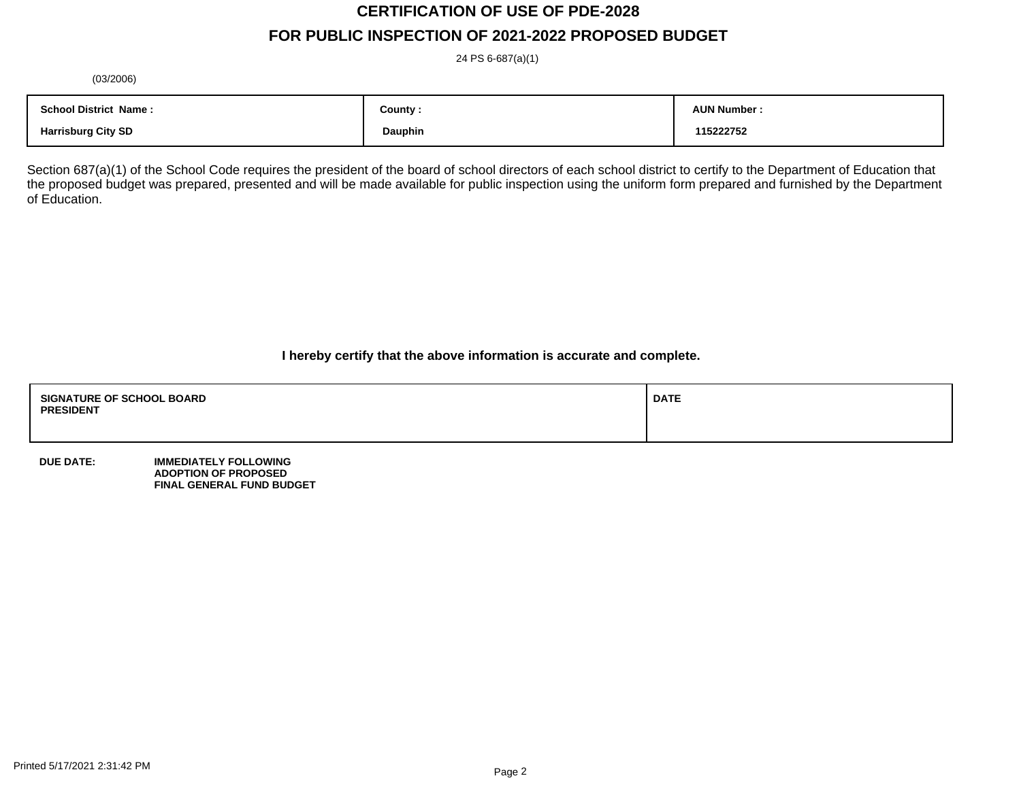# **CERTIFICATION OF USE OF PDE-2028 FOR PUBLIC INSPECTION OF 2021-2022 PROPOSED BUDGET**

24 PS 6-687(a)(1)

(03/2006)

| <b>School District Name:</b> | County : | <b>AUN Number:</b> |
|------------------------------|----------|--------------------|
| <b>Harrisburg City SD</b>    | Dauphin  | 115222752          |

Section 687(a)(1) of the School Code requires the president of the board of school directors of each school district to certify to the Department of Education that the proposed budget was prepared, presented and will be made available for public inspection using the uniform form prepared and furnished by the Department of Education.

**I hereby certify that the above information is accurate and complete.**

| <b>SIGNATURE OF SCHOOL BOARD</b><br><b>PRESIDENT</b> | <b>DATE</b> |
|------------------------------------------------------|-------------|
|                                                      |             |

**DUE DATE: IMMEDIATELY FOLLOWING ADOPTION OF PROPOSED FINAL GENERAL FUND BUDGET**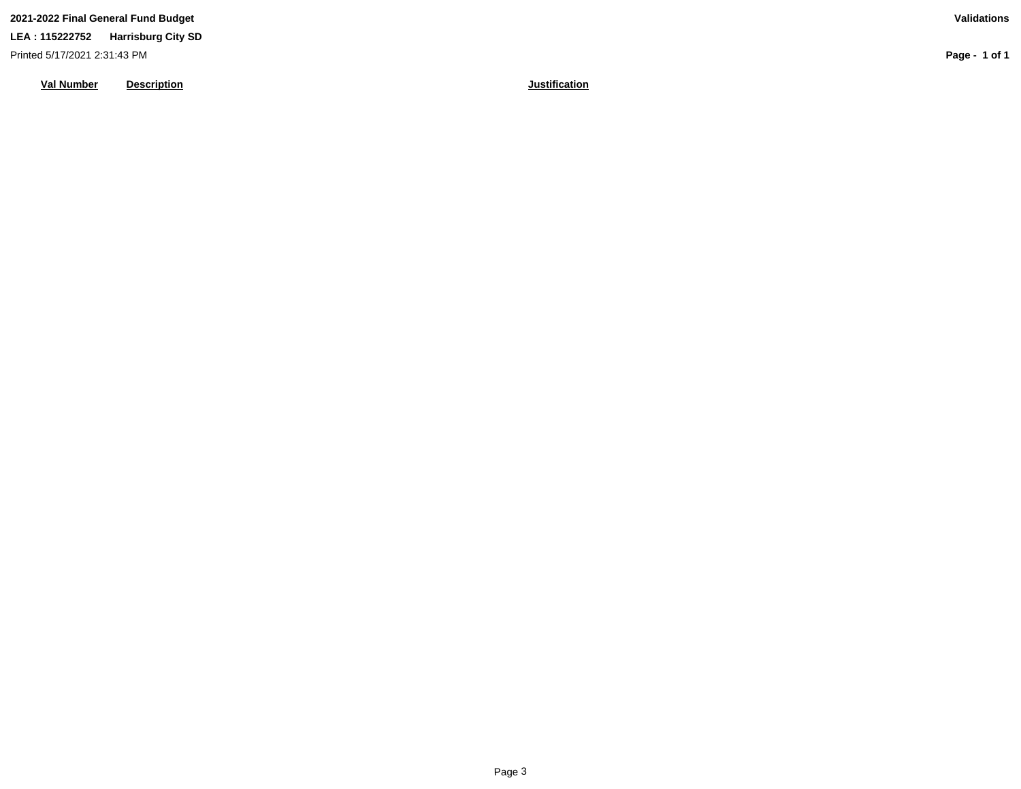Printed 5/17/2021 2:31:43 PM

**Val Number Description Justification**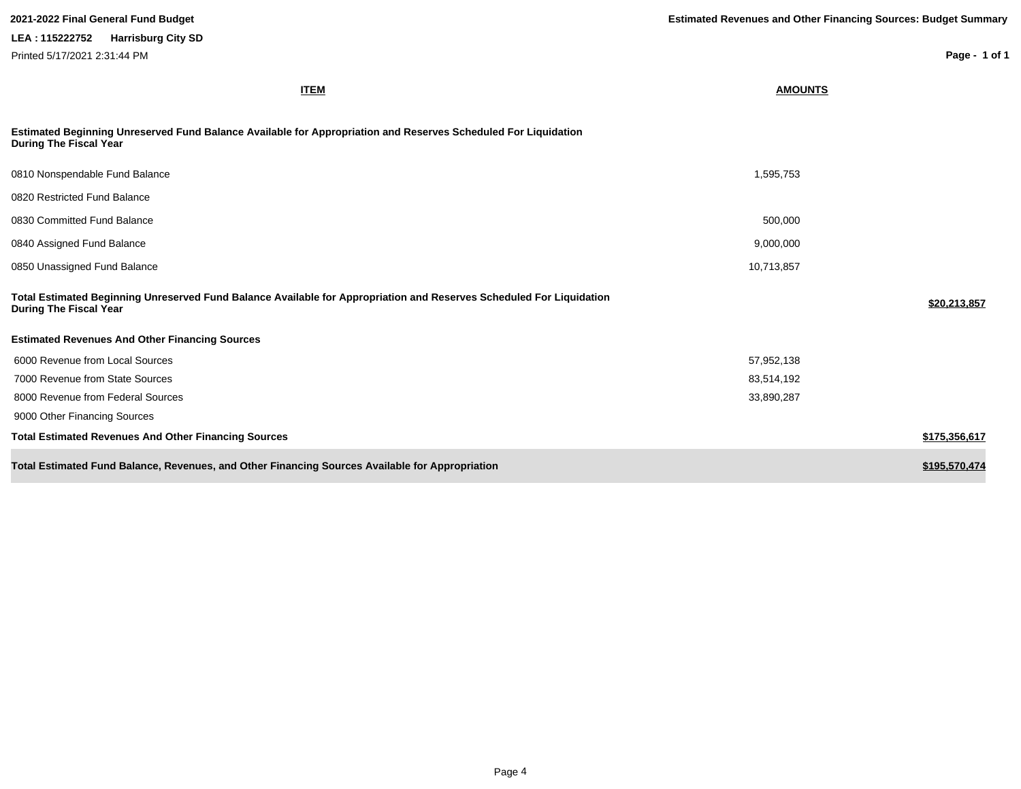| <b>ITEM</b>                                                                                                                                           | <b>AMOUNTS</b> |               |
|-------------------------------------------------------------------------------------------------------------------------------------------------------|----------------|---------------|
| Estimated Beginning Unreserved Fund Balance Available for Appropriation and Reserves Scheduled For Liquidation<br><b>During The Fiscal Year</b>       |                |               |
| 0810 Nonspendable Fund Balance                                                                                                                        | 1,595,753      |               |
| 0820 Restricted Fund Balance                                                                                                                          |                |               |
| 0830 Committed Fund Balance                                                                                                                           | 500,000        |               |
| 0840 Assigned Fund Balance                                                                                                                            | 9,000,000      |               |
| 0850 Unassigned Fund Balance                                                                                                                          | 10,713,857     |               |
| Total Estimated Beginning Unreserved Fund Balance Available for Appropriation and Reserves Scheduled For Liquidation<br><b>During The Fiscal Year</b> |                | \$20,213,857  |
| <b>Estimated Revenues And Other Financing Sources</b>                                                                                                 |                |               |
| 6000 Revenue from Local Sources                                                                                                                       | 57,952,138     |               |
| 7000 Revenue from State Sources                                                                                                                       | 83,514,192     |               |
| 8000 Revenue from Federal Sources                                                                                                                     | 33,890,287     |               |
| 9000 Other Financing Sources                                                                                                                          |                |               |
| <b>Total Estimated Revenues And Other Financing Sources</b>                                                                                           |                | \$175,356,617 |
| Total Estimated Fund Balance, Revenues, and Other Financing Sources Available for Appropriation                                                       |                | \$195,570,474 |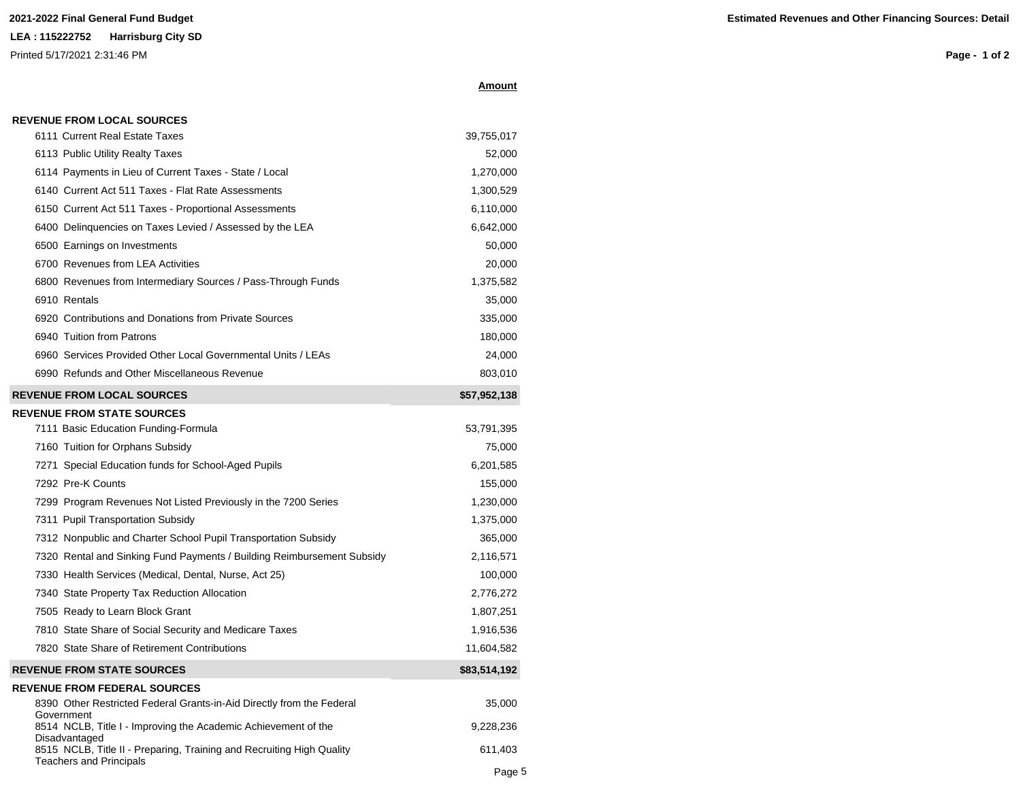# **Amount**

| 6111 Current Real Estate Taxes                                                                                           | 39,755,017   |
|--------------------------------------------------------------------------------------------------------------------------|--------------|
| 6113 Public Utility Realty Taxes                                                                                         | 52,000       |
| 6114 Payments in Lieu of Current Taxes - State / Local                                                                   | 1,270,000    |
| 6140 Current Act 511 Taxes - Flat Rate Assessments                                                                       | 1,300,529    |
| 6150 Current Act 511 Taxes - Proportional Assessments                                                                    | 6,110,000    |
| 6400 Delinquencies on Taxes Levied / Assessed by the LEA                                                                 | 6,642,000    |
| 6500 Earnings on Investments                                                                                             | 50,000       |
| 6700 Revenues from LEA Activities                                                                                        | 20,000       |
| 6800 Revenues from Intermediary Sources / Pass-Through Funds                                                             | 1,375,582    |
| 6910 Rentals                                                                                                             | 35,000       |
| 6920 Contributions and Donations from Private Sources                                                                    | 335,000      |
| 6940 Tuition from Patrons                                                                                                | 180,000      |
| 6960 Services Provided Other Local Governmental Units / LEAs                                                             | 24,000       |
| 6990 Refunds and Other Miscellaneous Revenue                                                                             | 803,010      |
| <b>REVENUE FROM LOCAL SOURCES</b>                                                                                        | \$57,952,138 |
| <b>REVENUE FROM STATE SOURCES</b>                                                                                        |              |
| 7111 Basic Education Funding-Formula                                                                                     | 53,791,395   |
| 7160 Tuition for Orphans Subsidy                                                                                         | 75,000       |
| 7271 Special Education funds for School-Aged Pupils                                                                      | 6,201,585    |
| 7292 Pre-K Counts                                                                                                        | 155,000      |
| 7299 Program Revenues Not Listed Previously in the 7200 Series                                                           | 1,230,000    |
| 7311 Pupil Transportation Subsidy                                                                                        | 1,375,000    |
| 7312 Nonpublic and Charter School Pupil Transportation Subsidy                                                           | 365,000      |
| 7320 Rental and Sinking Fund Payments / Building Reimbursement Subsidy                                                   | 2,116,571    |
| 7330 Health Services (Medical, Dental, Nurse, Act 25)                                                                    | 100,000      |
| 7340 State Property Tax Reduction Allocation                                                                             | 2,776,272    |
| 7505 Ready to Learn Block Grant                                                                                          | 1,807,251    |
| 7810 State Share of Social Security and Medicare Taxes                                                                   | 1,916,536    |
| 7820 State Share of Retirement Contributions                                                                             | 11,604,582   |
| <b>REVENUE FROM STATE SOURCES</b>                                                                                        | \$83,514,192 |
| <b>REVENUE FROM FEDERAL SOURCES</b>                                                                                      |              |
| 8390 Other Restricted Federal Grants-in-Aid Directly from the Federal<br>Government                                      | 35,000       |
| 8514 NCLB, Title I - Improving the Academic Achievement of the                                                           | 9,228,236    |
| Disadvantaged<br>8515 NCLB, Title II - Preparing, Training and Recruiting High Quality<br><b>Teachers and Principals</b> | 611,403      |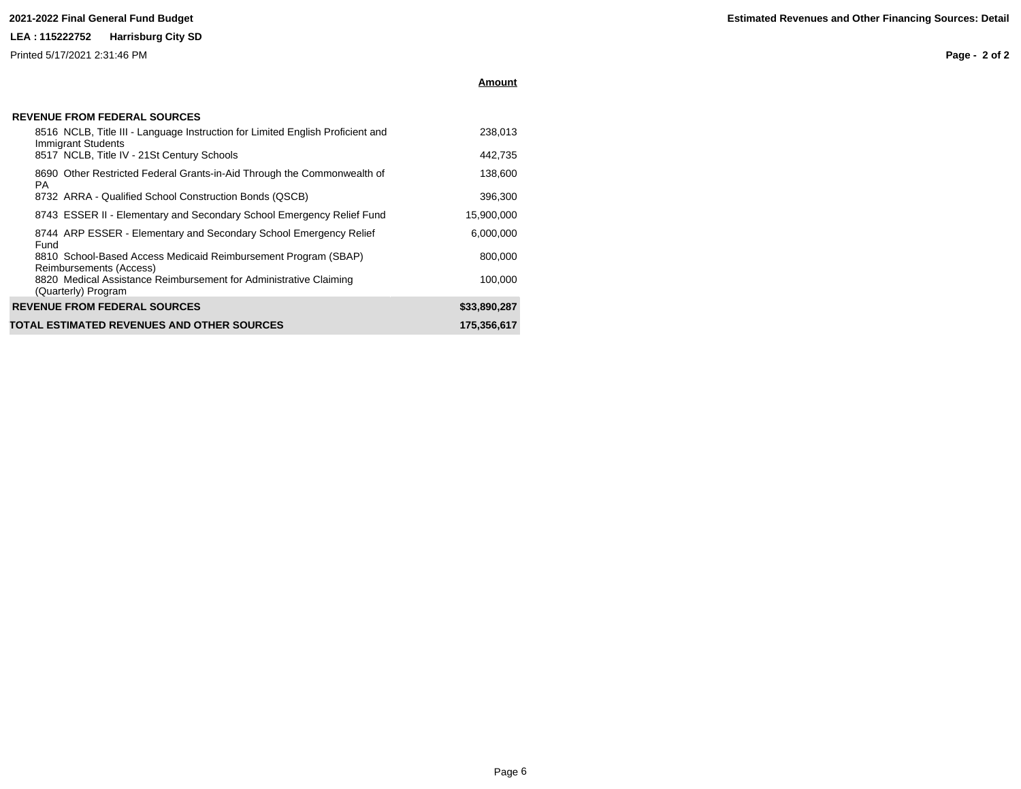Printed 5/17/2021 2:31:46 PM

**Amount**

| <b>REVENUE FROM FEDERAL SOURCES</b> |  |
|-------------------------------------|--|
|-------------------------------------|--|

|      | 8516 NCLB, Title III - Language Instruction for Limited English Proficient and<br>Immigrant Students | 238.013      |
|------|------------------------------------------------------------------------------------------------------|--------------|
|      | 8517 NCLB, Title IV - 21St Century Schools                                                           | 442,735      |
| PA.  | 8690 Other Restricted Federal Grants-in-Aid Through the Commonwealth of                              | 138,600      |
|      | 8732 ARRA - Qualified School Construction Bonds (QSCB)                                               | 396.300      |
|      | 8743 ESSER II - Elementary and Secondary School Emergency Relief Fund                                | 15,900,000   |
| Fund | 8744 ARP ESSER - Elementary and Secondary School Emergency Relief                                    | 6.000.000    |
|      | 8810 School-Based Access Medicaid Reimbursement Program (SBAP)<br>Reimbursements (Access)            | 800,000      |
|      | 8820 Medical Assistance Reimbursement for Administrative Claiming<br>(Quarterly) Program             | 100.000      |
|      | <b>REVENUE FROM FEDERAL SOURCES</b>                                                                  | \$33,890,287 |
|      | TOTAL ESTIMATED REVENUES AND OTHER SOURCES                                                           | 175.356.617  |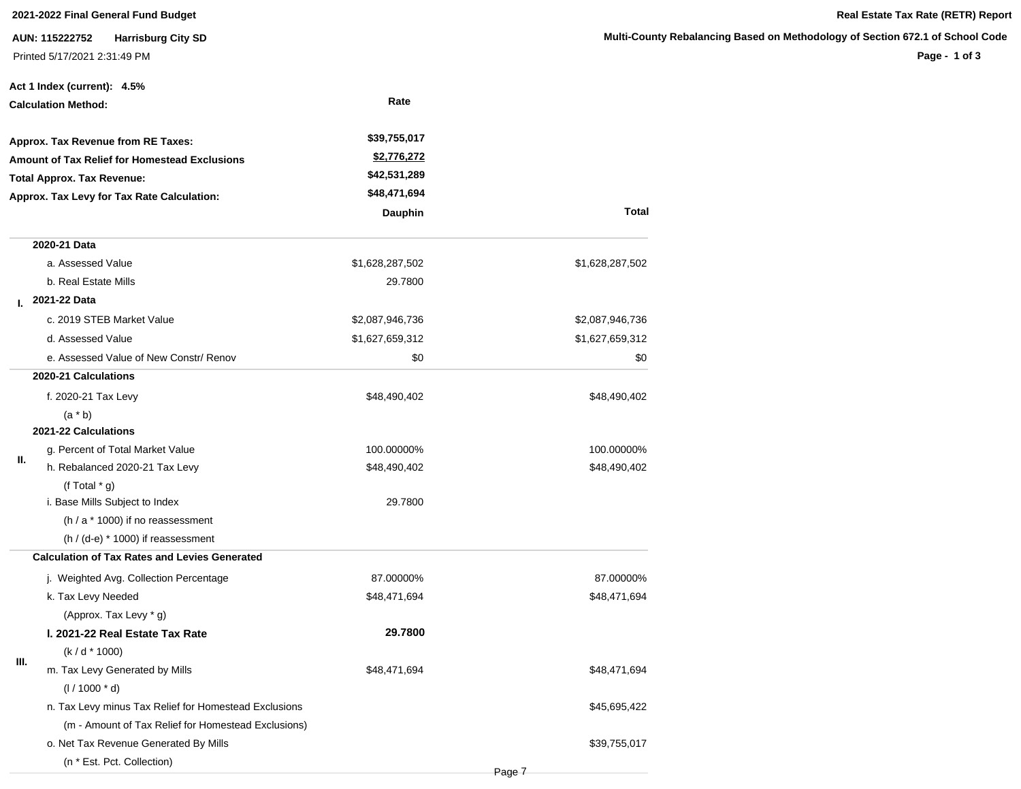**AUN: 115222752 Harrisburg City SD** Printed 5/17/2021 2:31:49 PM

|                            | Act 1 Index (current): 4.5%                           |                    |                 |
|----------------------------|-------------------------------------------------------|--------------------|-----------------|
| <b>Calculation Method:</b> |                                                       | Rate               |                 |
|                            | Approx. Tax Revenue from RE Taxes:                    | \$39,755,017       |                 |
|                            | <b>Amount of Tax Relief for Homestead Exclusions</b>  | <u>\$2,776,272</u> |                 |
|                            | <b>Total Approx. Tax Revenue:</b>                     | \$42,531,289       |                 |
|                            | Approx. Tax Levy for Tax Rate Calculation:            | \$48,471,694       |                 |
|                            |                                                       | Dauphin            | <b>Total</b>    |
|                            | 2020-21 Data                                          |                    |                 |
|                            | a. Assessed Value                                     | \$1,628,287,502    | \$1,628,287,502 |
|                            | b. Real Estate Mills                                  | 29.7800            |                 |
|                            | L 2021-22 Data                                        |                    |                 |
|                            | c. 2019 STEB Market Value                             | \$2,087,946,736    | \$2,087,946,736 |
|                            | d. Assessed Value                                     | \$1,627,659,312    | \$1,627,659,312 |
|                            | e. Assessed Value of New Constr/ Renov                | \$0                | \$0             |
|                            | 2020-21 Calculations                                  |                    |                 |
|                            | f. 2020-21 Tax Levy                                   | \$48,490,402       | \$48,490,402    |
|                            | $(a * b)$                                             |                    |                 |
|                            | 2021-22 Calculations                                  |                    |                 |
| Ш.                         | g. Percent of Total Market Value                      | 100.00000%         | 100.00000%      |
|                            | h. Rebalanced 2020-21 Tax Levy                        | \$48,490,402       | \$48,490,402    |
|                            | (f Total $*$ g)                                       |                    |                 |
|                            | i. Base Mills Subject to Index                        | 29.7800            |                 |
|                            | $(h / a * 1000)$ if no reassessment                   |                    |                 |
|                            | $(h / (d-e) * 1000)$ if reassessment                  |                    |                 |
|                            | <b>Calculation of Tax Rates and Levies Generated</b>  |                    |                 |
|                            | j. Weighted Avg. Collection Percentage                | 87.00000%          | 87.00000%       |
|                            | k. Tax Levy Needed                                    | \$48,471,694       | \$48,471,694    |
|                            | (Approx. Tax Levy * g)                                |                    |                 |
|                            | I. 2021-22 Real Estate Tax Rate                       | 29.7800            |                 |
| Ш.                         | $(k/d * 1000)$                                        |                    |                 |
|                            | m. Tax Levy Generated by Mills                        | \$48,471,694       | \$48,471,694    |
|                            | $(1/1000 * d)$                                        |                    |                 |
|                            | n. Tax Levy minus Tax Relief for Homestead Exclusions |                    | \$45,695,422    |
|                            | (m - Amount of Tax Relief for Homestead Exclusions)   |                    |                 |
|                            | o. Net Tax Revenue Generated By Mills                 |                    | \$39,755,017    |
|                            | (n * Est. Pct. Collection)                            |                    |                 |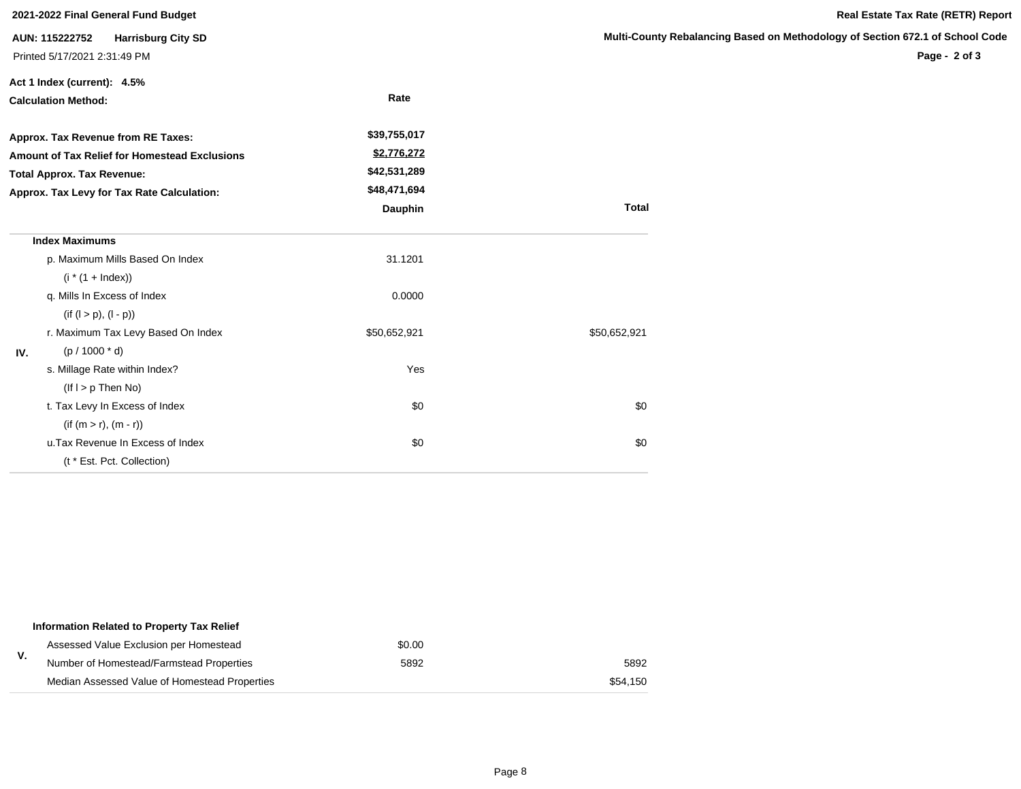| 2021-2022 Final General Fund Budget        |                                                                             |              |                       |  |  |
|--------------------------------------------|-----------------------------------------------------------------------------|--------------|-----------------------|--|--|
|                                            | AUN: 115222752<br><b>Harrisburg City SD</b><br>Printed 5/17/2021 2:31:49 PM |              | <b>Multi-County R</b> |  |  |
|                                            | Act 1 Index (current): 4.5%                                                 |              |                       |  |  |
|                                            | <b>Calculation Method:</b>                                                  | Rate         |                       |  |  |
|                                            | Approx. Tax Revenue from RE Taxes:                                          | \$39,755,017 |                       |  |  |
|                                            | Amount of Tax Relief for Homestead Exclusions                               | \$2,776,272  |                       |  |  |
|                                            | <b>Total Approx. Tax Revenue:</b>                                           | \$42,531,289 |                       |  |  |
| Approx. Tax Levy for Tax Rate Calculation: |                                                                             | \$48,471,694 |                       |  |  |
|                                            |                                                                             | Dauphin      | <b>Total</b>          |  |  |
|                                            | <b>Index Maximums</b>                                                       |              |                       |  |  |
|                                            | p. Maximum Mills Based On Index                                             | 31.1201      |                       |  |  |
|                                            | $(i * (1 + Index))$                                                         |              |                       |  |  |
|                                            | q. Mills In Excess of Index                                                 | 0.0000       |                       |  |  |
|                                            | $(if (l > p), (l - p))$                                                     |              |                       |  |  |
|                                            | r. Maximum Tax Levy Based On Index                                          | \$50,652,921 | \$50,652,921          |  |  |
| IV.                                        | $(p / 1000 * d)$                                                            |              |                       |  |  |
|                                            | s. Millage Rate within Index?                                               | Yes          |                       |  |  |
|                                            | $($ lf $I > p$ Then No $)$                                                  |              |                       |  |  |
|                                            | t. Tax Levy In Excess of Index                                              | \$0          | \$0                   |  |  |
|                                            | $(if (m > r), (m - r))$                                                     |              |                       |  |  |
|                                            | u. Tax Revenue In Excess of Index                                           | \$0          | \$0                   |  |  |
|                                            | (t * Est. Pct. Collection)                                                  |              |                       |  |  |

|    | Information Related to Property Tax Relief    |        |          |
|----|-----------------------------------------------|--------|----------|
|    | Assessed Value Exclusion per Homestead        | \$0.00 |          |
| v. | Number of Homestead/Farmstead Properties      | 5892   | 5892     |
|    | Median Assessed Value of Homestead Properties |        | \$54.150 |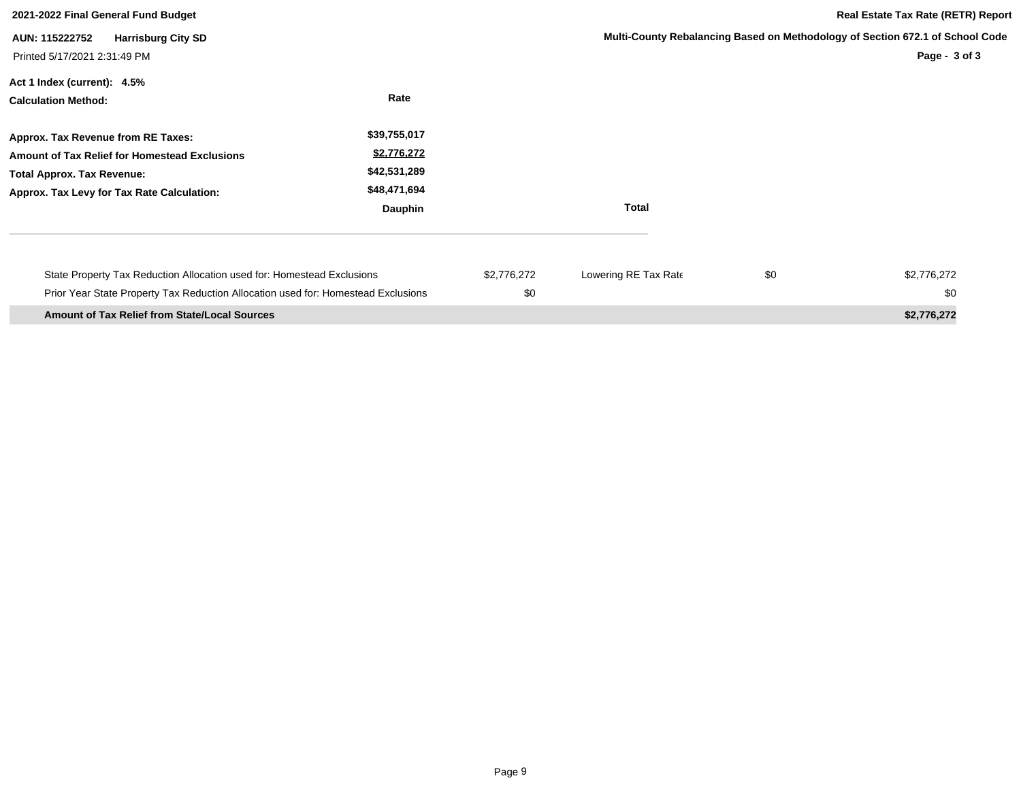| 2021-2022 Final General Fund Budget                                                                                                                                           |                                                                        |                    |                      |     | <b>Real Estate Tax Rate (RETR) Report</b>                                                      |
|-------------------------------------------------------------------------------------------------------------------------------------------------------------------------------|------------------------------------------------------------------------|--------------------|----------------------|-----|------------------------------------------------------------------------------------------------|
| <b>Harrisburg City SD</b><br>AUN: 115222752<br>Printed 5/17/2021 2:31:49 PM                                                                                                   |                                                                        |                    |                      |     | Multi-County Rebalancing Based on Methodology of Section 672.1 of School Code<br>Page - 3 of 3 |
| Act 1 Index (current): 4.5%<br><b>Calculation Method:</b>                                                                                                                     | Rate                                                                   |                    |                      |     |                                                                                                |
| Approx. Tax Revenue from RE Taxes:<br><b>Amount of Tax Relief for Homestead Exclusions</b><br><b>Total Approx. Tax Revenue:</b><br>Approx. Tax Levy for Tax Rate Calculation: | \$39,755,017<br>\$2,776,272<br>\$42,531,289<br>\$48,471,694<br>Dauphin |                    | <b>Total</b>         |     |                                                                                                |
| State Property Tax Reduction Allocation used for: Homestead Exclusions<br>Prior Year State Property Tax Reduction Allocation used for: Homestead Exclusions                   |                                                                        | \$2,776,272<br>\$0 | Lowering RE Tax Rate | \$0 | \$2,776,272<br>\$0                                                                             |
| <b>Amount of Tax Relief from State/Local Sources</b>                                                                                                                          |                                                                        |                    |                      |     | \$2,776,272                                                                                    |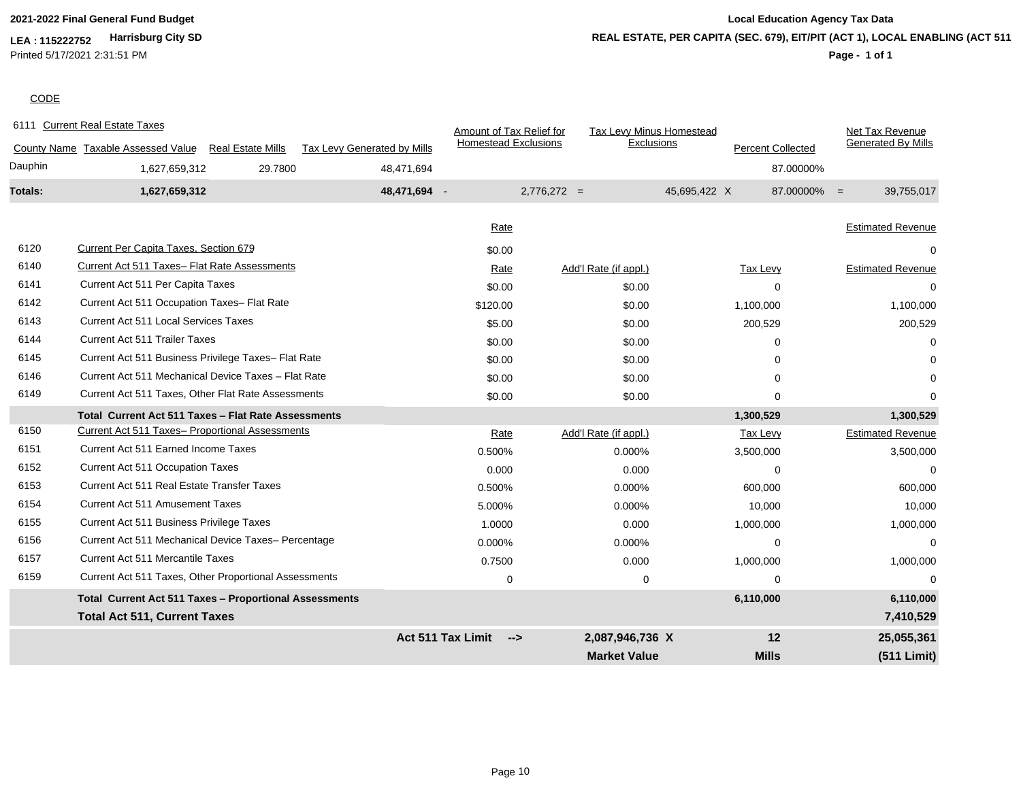**LEA : 115222752 Harrisburg City SD** Printed 5/17/2021 2:31:51 PM

# **2021-2022 Final General Fund Budget Local Education Agency Tax Data REAL ESTATE, PER CAPITA (SEC. 679), EIT/PIT (ACT 1), LOCAL ENABLING (ACT 511)**

# **Page - 1 of 1**

# **CODE**

|         | 6111 Current Real Estate Taxes                                                                         |                          |                             | Amount of Tax Relief for        |               | Tax Levy Minus Homestead        |              |                          |                | Net Tax Revenue           |
|---------|--------------------------------------------------------------------------------------------------------|--------------------------|-----------------------------|---------------------------------|---------------|---------------------------------|--------------|--------------------------|----------------|---------------------------|
|         | County Name Taxable Assessed Value                                                                     | <b>Real Estate Mills</b> | Tax Levy Generated by Mills | <b>Homestead Exclusions</b>     |               | Exclusions                      |              | <b>Percent Collected</b> |                | <b>Generated By Mills</b> |
| Dauphin | 1,627,659,312                                                                                          | 29.7800                  | 48,471,694                  |                                 |               |                                 |              |                          | 87.00000%      |                           |
| Totals: | 1,627,659,312                                                                                          |                          | 48,471,694 -                |                                 | $2,776,272 =$ |                                 | 45,695,422 X |                          | $87.00000\% =$ | 39,755,017                |
|         |                                                                                                        |                          |                             | Rate                            |               |                                 |              |                          |                | <b>Estimated Revenue</b>  |
| 6120    | <b>Current Per Capita Taxes, Section 679</b>                                                           |                          |                             | \$0.00                          |               |                                 |              |                          |                |                           |
| 6140    | Current Act 511 Taxes- Flat Rate Assessments                                                           |                          |                             |                                 |               |                                 |              |                          |                | <b>Estimated Revenue</b>  |
| 6141    | Current Act 511 Per Capita Taxes                                                                       |                          |                             | Rate<br>\$0.00                  |               | Add'l Rate (if appl.)<br>\$0.00 |              | Tax Levy<br>$\Omega$     |                |                           |
| 6142    | Current Act 511 Occupation Taxes- Flat Rate                                                            |                          |                             |                                 |               |                                 |              |                          |                |                           |
| 6143    | <b>Current Act 511 Local Services Taxes</b>                                                            |                          |                             | \$120.00                        |               | \$0.00                          |              | 1,100,000                |                | 1,100,000                 |
| 6144    | <b>Current Act 511 Trailer Taxes</b>                                                                   |                          |                             | \$5.00<br>\$0.00                |               | \$0.00<br>\$0.00                |              | 200,529<br>$\Omega$      |                | 200,529<br>U              |
| 6145    | Current Act 511 Business Privilege Taxes- Flat Rate                                                    |                          |                             | \$0.00                          |               |                                 |              |                          |                |                           |
| 6146    | Current Act 511 Mechanical Device Taxes - Flat Rate                                                    |                          |                             |                                 |               | \$0.00                          |              | 0<br>U                   |                |                           |
| 6149    | Current Act 511 Taxes, Other Flat Rate Assessments                                                     |                          |                             | \$0.00                          |               | \$0.00                          |              |                          |                | O                         |
|         |                                                                                                        |                          |                             | \$0.00                          |               | \$0.00                          |              | $\Omega$                 |                |                           |
| 6150    | Total Current Act 511 Taxes - Flat Rate Assessments<br>Current Act 511 Taxes- Proportional Assessments |                          |                             |                                 |               |                                 |              | 1,300,529                |                | 1,300,529                 |
| 6151    | <b>Current Act 511 Earned Income Taxes</b>                                                             |                          |                             | Rate                            |               | Add'l Rate (if appl.)           |              | <b>Tax Levy</b>          |                | <b>Estimated Revenue</b>  |
| 6152    | <b>Current Act 511 Occupation Taxes</b>                                                                |                          |                             | 0.500%                          |               | 0.000%                          |              | 3,500,000                |                | 3,500,000                 |
| 6153    | Current Act 511 Real Estate Transfer Taxes                                                             |                          |                             | 0.000                           |               | 0.000                           |              | $\Omega$                 |                | 0                         |
| 6154    |                                                                                                        |                          |                             | 0.500%                          |               | 0.000%                          |              | 600,000                  |                | 600,000                   |
|         | <b>Current Act 511 Amusement Taxes</b>                                                                 |                          |                             | 5.000%                          |               | 0.000%                          |              | 10,000                   |                | 10,000                    |
| 6155    | Current Act 511 Business Privilege Taxes                                                               |                          |                             | 1.0000                          |               | 0.000                           |              | 1,000,000                |                | 1,000,000                 |
| 6156    | Current Act 511 Mechanical Device Taxes- Percentage                                                    |                          |                             | 0.000%                          |               | 0.000%                          |              | $\Omega$                 |                | $\Omega$                  |
| 6157    | <b>Current Act 511 Mercantile Taxes</b>                                                                |                          |                             | 0.7500                          |               | 0.000                           |              | 1,000,000                |                | 1,000,000                 |
| 6159    | Current Act 511 Taxes, Other Proportional Assessments                                                  |                          |                             | 0                               |               | 0                               |              | $\Omega$                 |                |                           |
|         | Total Current Act 511 Taxes - Proportional Assessments                                                 |                          |                             |                                 |               |                                 |              | 6,110,000                |                | 6,110,000                 |
|         | <b>Total Act 511, Current Taxes</b>                                                                    |                          |                             |                                 |               |                                 |              |                          |                | 7,410,529                 |
|         |                                                                                                        |                          |                             | <b>Act 511 Tax Limit</b><br>--> |               | 2,087,946,736 X                 |              | 12                       |                | 25,055,361                |
|         |                                                                                                        |                          |                             |                                 |               | <b>Market Value</b>             |              | <b>Mills</b>             |                | (511 Limit)               |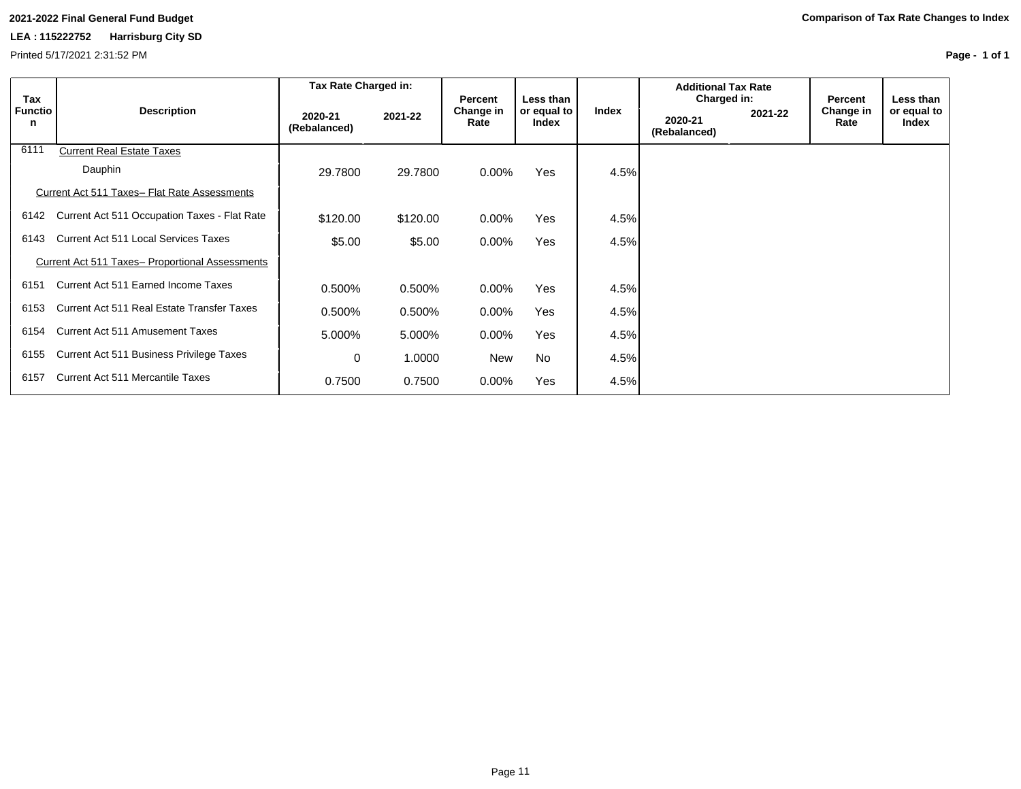Printed 5/17/2021 2:31:52 PM

| Tax                 |                                                        | Tax Rate Charged in:    |          | <b>Percent</b>    | Less than            |       | <b>Additional Tax Rate</b><br>Charged in: |         | Percent           | Less than            |
|---------------------|--------------------------------------------------------|-------------------------|----------|-------------------|----------------------|-------|-------------------------------------------|---------|-------------------|----------------------|
| <b>Functio</b><br>n | <b>Description</b>                                     | 2020-21<br>(Rebalanced) | 2021-22  | Change in<br>Rate | or equal to<br>Index | Index | 2020-21<br>(Rebalanced)                   | 2021-22 | Change in<br>Rate | or equal to<br>Index |
| 6111                | <b>Current Real Estate Taxes</b>                       |                         |          |                   |                      |       |                                           |         |                   |                      |
|                     | Dauphin                                                | 29,7800                 | 29,7800  | $0.00\%$          | Yes                  | 4.5%  |                                           |         |                   |                      |
|                     | Current Act 511 Taxes- Flat Rate Assessments           |                         |          |                   |                      |       |                                           |         |                   |                      |
| 6142                | Current Act 511 Occupation Taxes - Flat Rate           | \$120.00                | \$120.00 | $0.00\%$          | <b>Yes</b>           | 4.5%  |                                           |         |                   |                      |
| 6143                | <b>Current Act 511 Local Services Taxes</b>            | \$5.00                  | \$5.00   | $0.00\%$          | Yes                  | 4.5%  |                                           |         |                   |                      |
|                     | <b>Current Act 511 Taxes- Proportional Assessments</b> |                         |          |                   |                      |       |                                           |         |                   |                      |
| 6151                | Current Act 511 Earned Income Taxes                    | 0.500%                  | 0.500%   | $0.00\%$          | Yes                  | 4.5%  |                                           |         |                   |                      |
| 6153                | Current Act 511 Real Estate Transfer Taxes             | 0.500%                  | 0.500%   | $0.00\%$          | Yes                  | 4.5%  |                                           |         |                   |                      |
| 6154                | Current Act 511 Amusement Taxes                        | 5.000%                  | 5.000%   | 0.00%             | Yes                  | 4.5%  |                                           |         |                   |                      |
| 6155                | Current Act 511 Business Privilege Taxes               | 0                       | 1.0000   | <b>New</b>        | <b>No</b>            | 4.5%  |                                           |         |                   |                      |
| 6157                | Current Act 511 Mercantile Taxes                       | 0.7500                  | 0.7500   | 0.00%             | Yes                  | 4.5%  |                                           |         |                   |                      |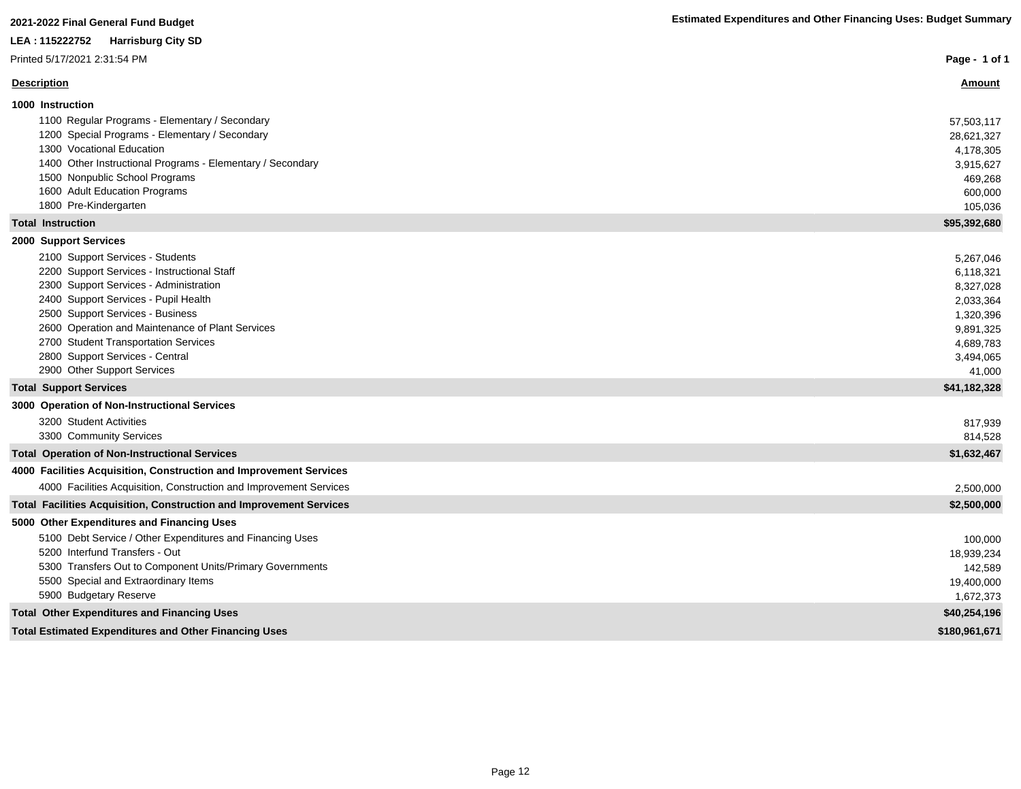| LEA : 115222752<br><b>Harrisburg City SD</b>                                             |                     |
|------------------------------------------------------------------------------------------|---------------------|
| Printed 5/17/2021 2:31:54 PM                                                             | Page - 1 of 1       |
| <b>Description</b>                                                                       | <u>Amount</u>       |
| 1000 Instruction                                                                         |                     |
| 1100 Regular Programs - Elementary / Secondary                                           | 57,503,117          |
| 1200 Special Programs - Elementary / Secondary                                           | 28,621,327          |
| 1300 Vocational Education                                                                | 4,178,305           |
| 1400 Other Instructional Programs - Elementary / Secondary                               | 3,915,627           |
| 1500 Nonpublic School Programs                                                           | 469,268             |
| 1600 Adult Education Programs                                                            | 600,000             |
| 1800 Pre-Kindergarten                                                                    | 105,036             |
| <b>Total Instruction</b>                                                                 | \$95,392,680        |
| 2000 Support Services                                                                    |                     |
| 2100 Support Services - Students                                                         | 5,267,046           |
| 2200 Support Services - Instructional Staff                                              | 6,118,321           |
| 2300 Support Services - Administration                                                   | 8,327,028           |
| 2400 Support Services - Pupil Health                                                     | 2,033,364           |
| 2500 Support Services - Business                                                         | 1,320,396           |
| 2600 Operation and Maintenance of Plant Services<br>2700 Student Transportation Services | 9,891,325           |
| 2800 Support Services - Central                                                          | 4,689,783           |
| 2900 Other Support Services                                                              | 3,494,065<br>41,000 |
| <b>Total Support Services</b>                                                            | \$41,182,328        |
| 3000 Operation of Non-Instructional Services                                             |                     |
| 3200 Student Activities                                                                  | 817,939             |
| 3300 Community Services                                                                  | 814,528             |
| <b>Total Operation of Non-Instructional Services</b>                                     | \$1,632,467         |
| 4000 Facilities Acquisition, Construction and Improvement Services                       |                     |
| 4000 Facilities Acquisition, Construction and Improvement Services                       | 2,500,000           |
| Total Facilities Acquisition, Construction and Improvement Services                      | \$2,500,000         |
| 5000 Other Expenditures and Financing Uses                                               |                     |
| 5100 Debt Service / Other Expenditures and Financing Uses                                | 100,000             |
| 5200 Interfund Transfers - Out                                                           | 18,939,234          |
| 5300 Transfers Out to Component Units/Primary Governments                                | 142,589             |
| 5500 Special and Extraordinary Items                                                     | 19,400,000          |
| 5900 Budgetary Reserve                                                                   | 1,672,373           |
| <b>Total Other Expenditures and Financing Uses</b>                                       | \$40,254,196        |
| <b>Total Estimated Expenditures and Other Financing Uses</b>                             | \$180,961,671       |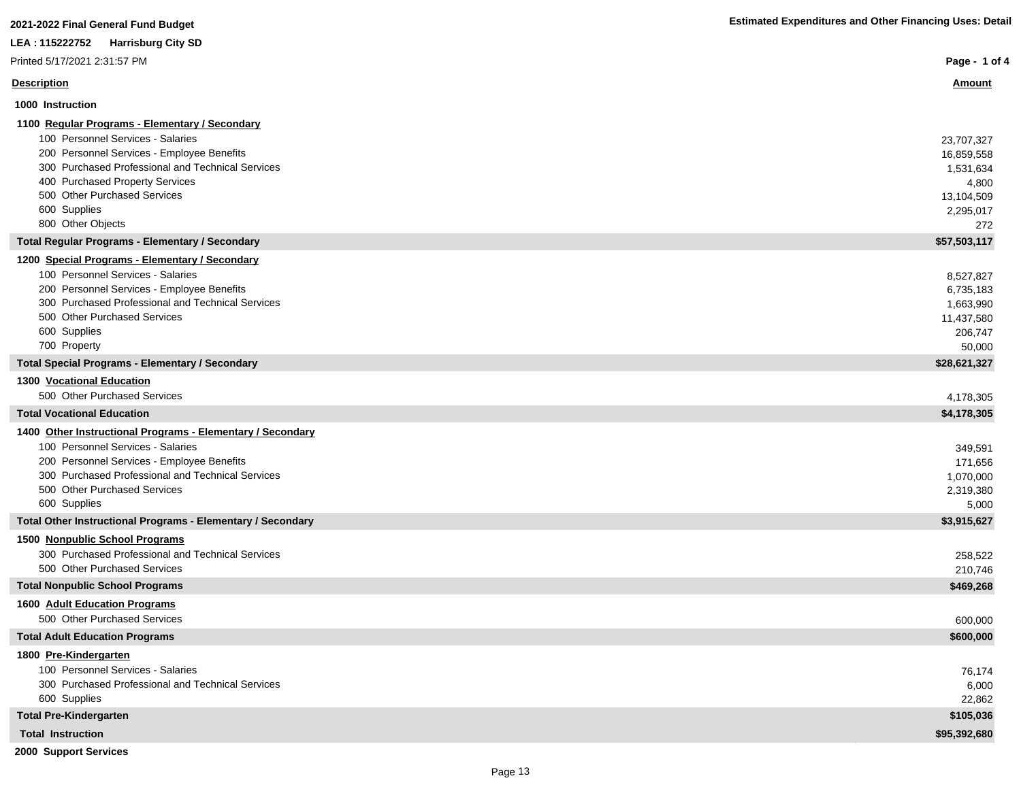| 2021-2022 Final General Fund Budget                                               | <b>Estimated Expenditures and Other Financing Uses: Detail</b> |
|-----------------------------------------------------------------------------------|----------------------------------------------------------------|
| LEA : 115222752<br><b>Harrisburg City SD</b>                                      |                                                                |
| Printed 5/17/2021 2:31:57 PM                                                      | Page - 1 of 4                                                  |
| <b>Description</b>                                                                | <u>Amount</u>                                                  |
| 1000 Instruction                                                                  |                                                                |
| 1100 Regular Programs - Elementary / Secondary                                    |                                                                |
| 100 Personnel Services - Salaries                                                 | 23,707,327                                                     |
| 200 Personnel Services - Employee Benefits                                        | 16,859,558                                                     |
| 300 Purchased Professional and Technical Services                                 | 1,531,634                                                      |
| 400 Purchased Property Services                                                   | 4,800                                                          |
| 500 Other Purchased Services                                                      | 13,104,509                                                     |
| 600 Supplies                                                                      | 2,295,017                                                      |
| 800 Other Objects                                                                 | 272                                                            |
| <b>Total Regular Programs - Elementary / Secondary</b>                            | \$57,503,117                                                   |
| 1200 Special Programs - Elementary / Secondary                                    |                                                                |
| 100 Personnel Services - Salaries                                                 | 8,527,827                                                      |
| 200 Personnel Services - Employee Benefits                                        | 6,735,183                                                      |
| 300 Purchased Professional and Technical Services<br>500 Other Purchased Services | 1,663,990                                                      |
| 600 Supplies                                                                      | 11,437,580<br>206,747                                          |
| 700 Property                                                                      | 50,000                                                         |
| <b>Total Special Programs - Elementary / Secondary</b>                            | \$28,621,327                                                   |
| 1300 Vocational Education                                                         |                                                                |
| 500 Other Purchased Services                                                      | 4,178,305                                                      |
| <b>Total Vocational Education</b>                                                 | \$4,178,305                                                    |
| 1400 Other Instructional Programs - Elementary / Secondary                        |                                                                |
| 100 Personnel Services - Salaries                                                 | 349,591                                                        |
| 200 Personnel Services - Employee Benefits                                        | 171,656                                                        |
| 300 Purchased Professional and Technical Services                                 | 1,070,000                                                      |
| 500 Other Purchased Services                                                      | 2,319,380                                                      |
| 600 Supplies                                                                      | 5,000                                                          |
| Total Other Instructional Programs - Elementary / Secondary                       | \$3,915,627                                                    |
| 1500 Nonpublic School Programs                                                    |                                                                |
| 300 Purchased Professional and Technical Services                                 | 258,522                                                        |
| 500 Other Purchased Services                                                      | 210,746                                                        |
| <b>Total Nonpublic School Programs</b>                                            | \$469,268                                                      |
| 1600 Adult Education Programs                                                     |                                                                |
| 500 Other Purchased Services                                                      | 600,000                                                        |
| <b>Total Adult Education Programs</b>                                             | \$600,000                                                      |
| 1800 Pre-Kindergarten                                                             |                                                                |
| 100 Personnel Services - Salaries                                                 | 76,174                                                         |
| 300 Purchased Professional and Technical Services                                 | 6,000                                                          |
| 600 Supplies<br><b>Total Pre-Kindergarten</b>                                     | 22,862<br>\$105,036                                            |
|                                                                                   |                                                                |
| <b>Total Instruction</b>                                                          | \$95,392,680                                                   |
| 2000 Support Services                                                             |                                                                |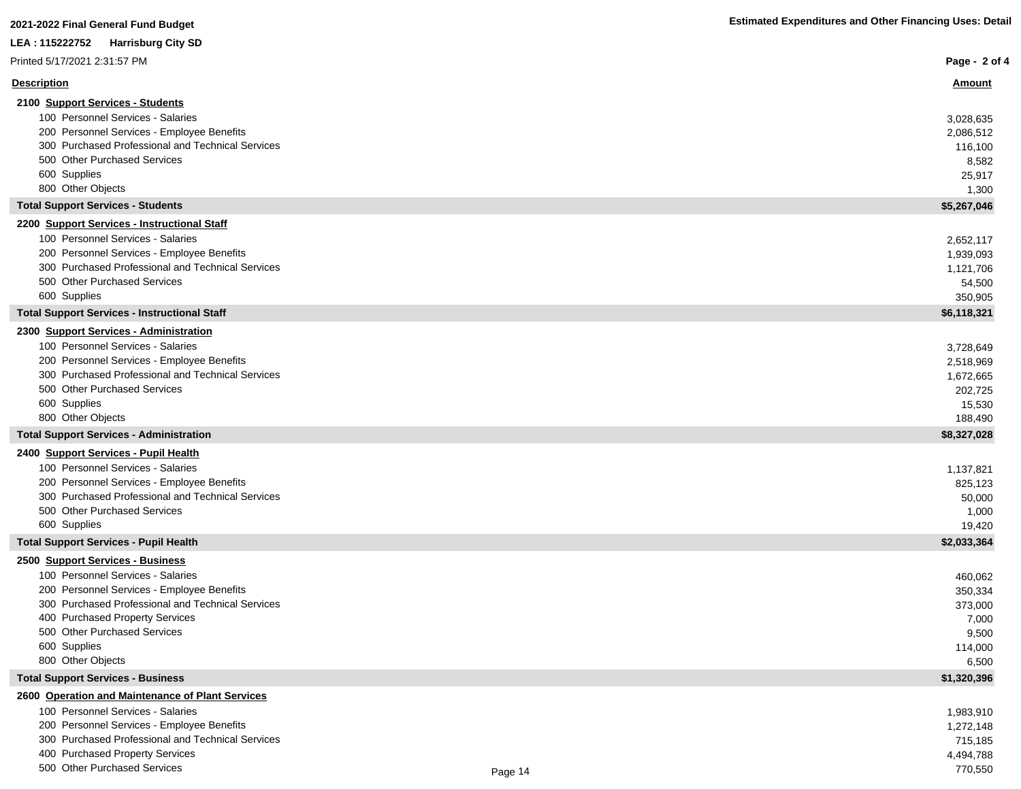| LEA : 115222752<br><b>Harrisburg City SD</b>                                                    |         |                   |
|-------------------------------------------------------------------------------------------------|---------|-------------------|
| Printed 5/17/2021 2:31:57 PM                                                                    |         | Page - 2 of 4     |
| <b>Description</b>                                                                              |         | <u>Amount</u>     |
| 2100 Support Services - Students                                                                |         |                   |
| 100 Personnel Services - Salaries                                                               |         | 3,028,635         |
| 200 Personnel Services - Employee Benefits                                                      |         | 2,086,512         |
| 300 Purchased Professional and Technical Services                                               |         | 116,100           |
| 500 Other Purchased Services                                                                    |         | 8,582             |
| 600 Supplies                                                                                    |         | 25,917            |
| 800 Other Objects                                                                               |         | 1,300             |
| <b>Total Support Services - Students</b>                                                        |         | \$5,267,046       |
| 2200 Support Services - Instructional Staff                                                     |         |                   |
| 100 Personnel Services - Salaries                                                               |         | 2,652,117         |
| 200 Personnel Services - Employee Benefits                                                      |         | 1,939,093         |
| 300 Purchased Professional and Technical Services                                               |         | 1,121,706         |
| 500 Other Purchased Services                                                                    |         | 54,500            |
| 600 Supplies                                                                                    |         | 350,905           |
| <b>Total Support Services - Instructional Staff</b>                                             |         | \$6,118,321       |
| 2300 Support Services - Administration                                                          |         |                   |
| 100 Personnel Services - Salaries                                                               |         | 3,728,649         |
| 200 Personnel Services - Employee Benefits<br>300 Purchased Professional and Technical Services |         | 2,518,969         |
|                                                                                                 |         | 1,672,665         |
| 500 Other Purchased Services<br>600 Supplies                                                    |         | 202,725           |
| 800 Other Objects                                                                               |         | 15,530<br>188,490 |
| <b>Total Support Services - Administration</b>                                                  |         | \$8,327,028       |
| 2400 Support Services - Pupil Health                                                            |         |                   |
| 100 Personnel Services - Salaries                                                               |         | 1,137,821         |
| 200 Personnel Services - Employee Benefits                                                      |         | 825,123           |
| 300 Purchased Professional and Technical Services                                               |         | 50,000            |
| 500 Other Purchased Services                                                                    |         | 1,000             |
| 600 Supplies                                                                                    |         | 19,420            |
| <b>Total Support Services - Pupil Health</b>                                                    |         | \$2,033,364       |
| 2500 Support Services - Business                                                                |         |                   |
| 100 Personnel Services - Salaries                                                               |         | 460,062           |
| 200 Personnel Services - Employee Benefits                                                      |         | 350,334           |
| 300 Purchased Professional and Technical Services                                               |         | 373,000           |
| 400 Purchased Property Services                                                                 |         | 7,000             |
| 500 Other Purchased Services                                                                    |         | 9,500             |
| 600 Supplies                                                                                    |         | 114,000           |
| 800 Other Objects<br><b>Total Support Services - Business</b>                                   |         | 6,500             |
|                                                                                                 |         | \$1,320,396       |
| 2600 Operation and Maintenance of Plant Services<br>100 Personnel Services - Salaries           |         | 1,983,910         |
| 200 Personnel Services - Employee Benefits                                                      |         | 1,272,148         |
| 300 Purchased Professional and Technical Services                                               |         | 715,185           |
| 400 Purchased Property Services                                                                 |         | 4,494,788         |
| 500 Other Purchased Services                                                                    | Page 14 | 770,550           |
|                                                                                                 |         |                   |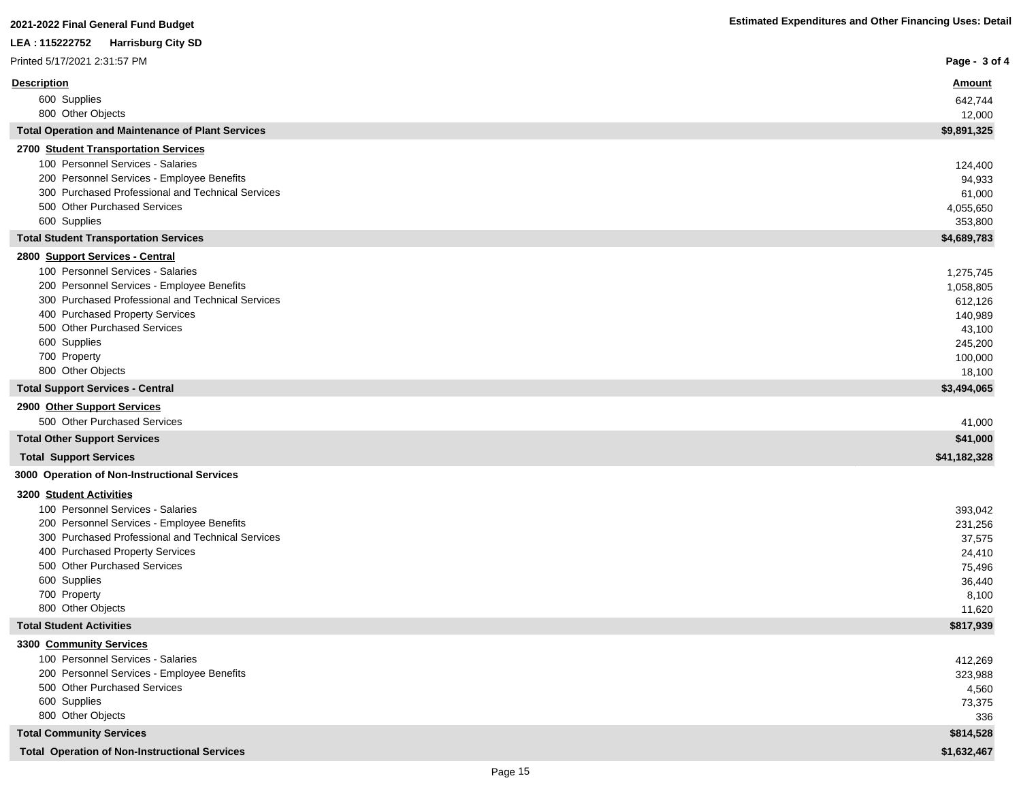| LEA : 115222752<br><b>Harrisburg City SD</b>                                                    |                      |
|-------------------------------------------------------------------------------------------------|----------------------|
| Printed 5/17/2021 2:31:57 PM                                                                    | Page - 3 of 4        |
| <b>Description</b>                                                                              | <u>Amount</u>        |
| 600 Supplies                                                                                    | 642,744              |
| 800 Other Objects                                                                               | 12,000               |
| <b>Total Operation and Maintenance of Plant Services</b>                                        | \$9,891,325          |
| 2700 Student Transportation Services                                                            |                      |
| 100 Personnel Services - Salaries                                                               | 124,400              |
| 200 Personnel Services - Employee Benefits                                                      | 94,933               |
| 300 Purchased Professional and Technical Services<br>500 Other Purchased Services               | 61,000               |
| 600 Supplies                                                                                    | 4,055,650<br>353,800 |
| <b>Total Student Transportation Services</b>                                                    | \$4,689,783          |
| 2800 Support Services - Central                                                                 |                      |
| 100 Personnel Services - Salaries                                                               | 1,275,745            |
| 200 Personnel Services - Employee Benefits                                                      | 1,058,805            |
| 300 Purchased Professional and Technical Services                                               | 612,126              |
| 400 Purchased Property Services                                                                 | 140,989              |
| 500 Other Purchased Services                                                                    | 43,100               |
| 600 Supplies                                                                                    | 245,200              |
| 700 Property                                                                                    | 100,000              |
| 800 Other Objects                                                                               | 18,100               |
| <b>Total Support Services - Central</b>                                                         | \$3,494,065          |
| 2900 Other Support Services<br>500 Other Purchased Services                                     |                      |
|                                                                                                 | 41,000<br>\$41,000   |
| <b>Total Other Support Services</b>                                                             |                      |
| <b>Total Support Services</b>                                                                   | \$41,182,328         |
| 3000 Operation of Non-Instructional Services                                                    |                      |
| 3200 Student Activities                                                                         |                      |
| 100 Personnel Services - Salaries                                                               | 393,042              |
| 200 Personnel Services - Employee Benefits<br>300 Purchased Professional and Technical Services | 231,256              |
| 400 Purchased Property Services                                                                 | 37,575<br>24,410     |
| 500 Other Purchased Services                                                                    | 75,496               |
| 600 Supplies                                                                                    | 36,440               |
| 700 Property                                                                                    | 8,100                |
| 800 Other Objects                                                                               | 11,620               |
| <b>Total Student Activities</b>                                                                 | \$817,939            |
| 3300 Community Services                                                                         |                      |
| 100 Personnel Services - Salaries                                                               | 412,269              |
| 200 Personnel Services - Employee Benefits                                                      | 323,988              |
| 500 Other Purchased Services                                                                    | 4,560                |
| 600 Supplies<br>800 Other Objects                                                               | 73,375<br>336        |
| <b>Total Community Services</b>                                                                 | \$814,528            |
| <b>Total Operation of Non-Instructional Services</b>                                            | \$1,632,467          |
|                                                                                                 |                      |

I

I

ľ

ľ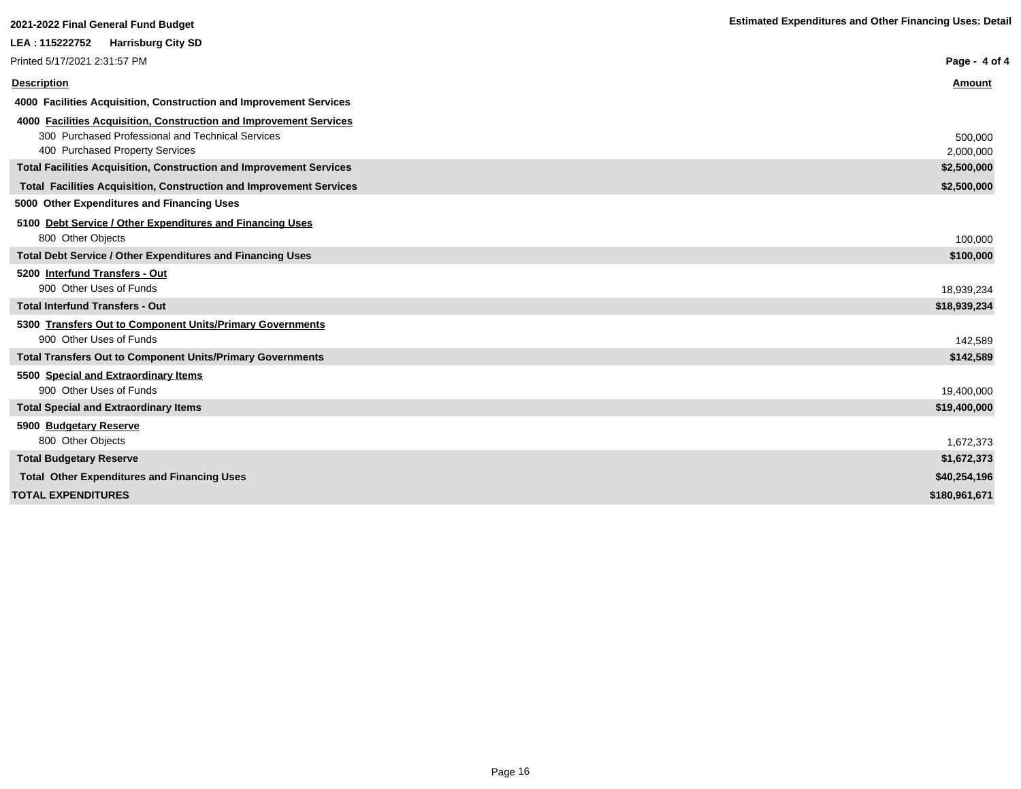| 2021-2022 Final General Fund Budget                                        | <b>Estimated Expenditures and Other Financing Uses: Detail</b> |
|----------------------------------------------------------------------------|----------------------------------------------------------------|
|                                                                            |                                                                |
| LEA: 115222752<br><b>Harrisburg City SD</b>                                |                                                                |
| Printed 5/17/2021 2:31:57 PM                                               | Page - 4 of 4                                                  |
| <b>Description</b>                                                         | Amount                                                         |
| 4000 Facilities Acquisition, Construction and Improvement Services         |                                                                |
| 4000 Facilities Acquisition, Construction and Improvement Services         |                                                                |
| 300 Purchased Professional and Technical Services                          | 500,000                                                        |
| 400 Purchased Property Services                                            | 2,000,000                                                      |
| <b>Total Facilities Acquisition, Construction and Improvement Services</b> | \$2,500,000                                                    |
| <b>Total Facilities Acquisition, Construction and Improvement Services</b> | \$2,500,000                                                    |
| 5000 Other Expenditures and Financing Uses                                 |                                                                |
| 5100 Debt Service / Other Expenditures and Financing Uses                  |                                                                |
| 800 Other Objects                                                          | 100,000                                                        |
| <b>Total Debt Service / Other Expenditures and Financing Uses</b>          | \$100,000                                                      |
| 5200 Interfund Transfers - Out                                             |                                                                |
| 900 Other Uses of Funds                                                    | 18,939,234                                                     |
| <b>Total Interfund Transfers - Out</b>                                     | \$18,939,234                                                   |
| 5300 Transfers Out to Component Units/Primary Governments                  |                                                                |
| 900 Other Uses of Funds                                                    | 142.589                                                        |
| <b>Total Transfers Out to Component Units/Primary Governments</b>          | \$142,589                                                      |
| 5500 Special and Extraordinary Items                                       |                                                                |
| 900 Other Uses of Funds                                                    | 19,400,000                                                     |
| <b>Total Special and Extraordinary Items</b>                               | \$19,400,000                                                   |
| 5900 Budgetary Reserve                                                     |                                                                |
| 800 Other Objects                                                          | 1,672,373                                                      |
| <b>Total Budgetary Reserve</b>                                             | \$1,672,373                                                    |
| <b>Total Other Expenditures and Financing Uses</b>                         | \$40.254.196                                                   |

**TOTAL EXPENDITURES \$180,961,671**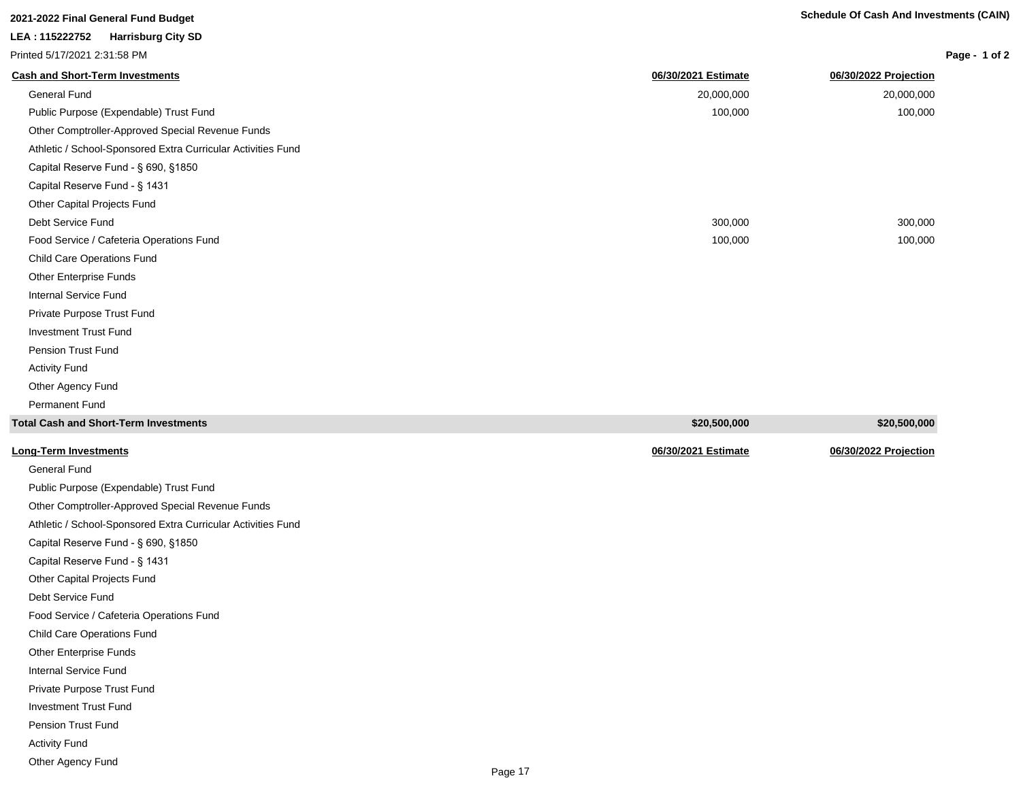**Long-Term Investments 06/30/2021 Estimate 06/30/2022 Projection**

|                              | zuz'i-zuzz Finai General Fund Budget |
|------------------------------|--------------------------------------|
|                              | LEA: 115222752 Harrisburg City SD    |
| Printed 5/17/2021 2:31:58 PM |                                      |

# **Page - 1 of 2**

| <b>Cash and Short-Term Investments</b>                       | 06/30/2021 Estimate | 06/30/2022 Projection |
|--------------------------------------------------------------|---------------------|-----------------------|
| <b>General Fund</b>                                          | 20,000,000          | 20,000,000            |
| Public Purpose (Expendable) Trust Fund                       | 100,000             | 100,000               |
| Other Comptroller-Approved Special Revenue Funds             |                     |                       |
| Athletic / School-Sponsored Extra Curricular Activities Fund |                     |                       |
| Capital Reserve Fund - § 690, §1850                          |                     |                       |
| Capital Reserve Fund - § 1431                                |                     |                       |
| Other Capital Projects Fund                                  |                     |                       |
| Debt Service Fund                                            | 300,000             | 300,000               |
| Food Service / Cafeteria Operations Fund                     | 100,000             | 100,000               |
| Child Care Operations Fund                                   |                     |                       |
| Other Enterprise Funds                                       |                     |                       |
| <b>Internal Service Fund</b>                                 |                     |                       |
| Private Purpose Trust Fund                                   |                     |                       |
| <b>Investment Trust Fund</b>                                 |                     |                       |
| <b>Pension Trust Fund</b>                                    |                     |                       |
| <b>Activity Fund</b>                                         |                     |                       |
| Other Agency Fund                                            |                     |                       |
| Permanent Fund                                               |                     |                       |
| <b>Total Cash and Short-Term Investments</b>                 | \$20,500,000        | \$20,500,000          |
|                                                              |                     |                       |

|  |  |  | <b>Long-Term Investments</b> |  |
|--|--|--|------------------------------|--|
|--|--|--|------------------------------|--|

General Fund Public Purpose (Expendable) Trust Fund Other Comptroller-Approved Special Revenue Funds Athletic / School-Sponsored Extra Curricular Activities Fund Capital Reserve Fund - § 690, §1850 Capital Reserve Fund - § 1431 Other Capital Projects Fund Debt Service Fund Food Service / Cafeteria Operations Fund Child Care Operations Fund Other Enterprise Funds Internal Service Fund Private Purpose Trust Fund Investment Trust Fund Pension Trust Fund Activity Fund Other Agency Fund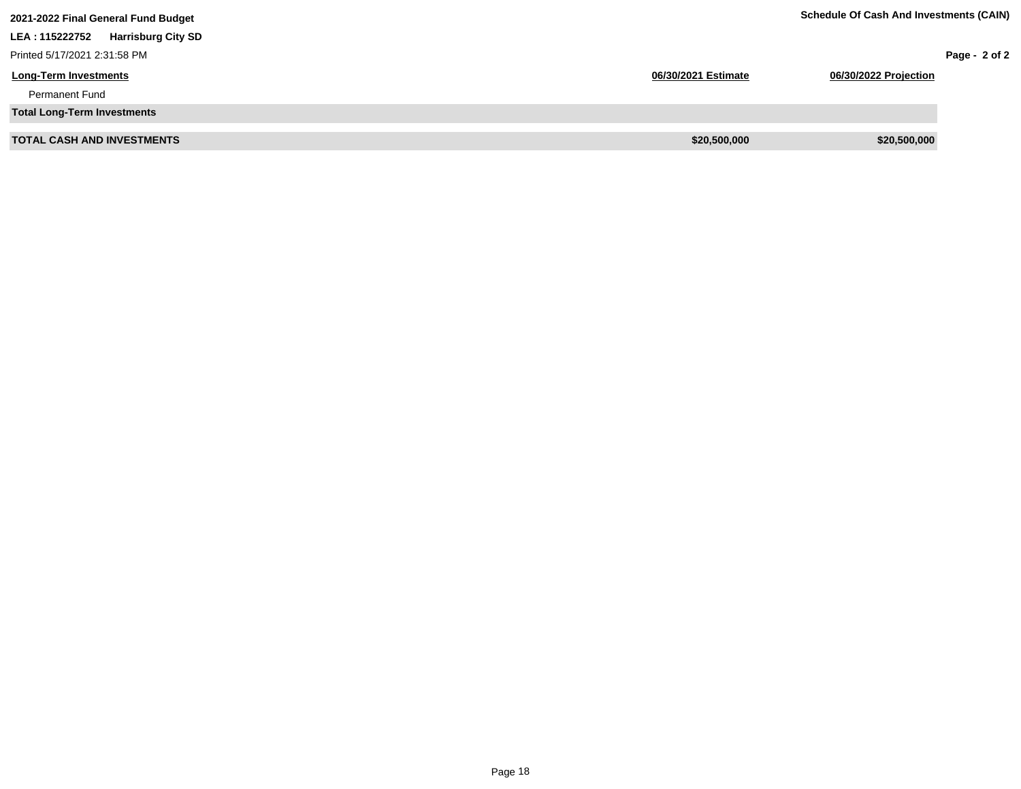| 2021-2022 Final General Fund Budget          |                     | <b>Schedule Of Cash And Investments (CAIN)</b> |               |
|----------------------------------------------|---------------------|------------------------------------------------|---------------|
| <b>Harrisburg City SD</b><br>LEA : 115222752 |                     |                                                |               |
| Printed 5/17/2021 2:31:58 PM                 |                     |                                                | Page - 2 of 2 |
| <b>Long-Term Investments</b>                 | 06/30/2021 Estimate | 06/30/2022 Projection                          |               |
| <b>Permanent Fund</b>                        |                     |                                                |               |
| <b>Total Long-Term Investments</b>           |                     |                                                |               |
| <b>TOTAL CASH AND INVESTMENTS</b>            | \$20,500,000        | \$20,500,000                                   |               |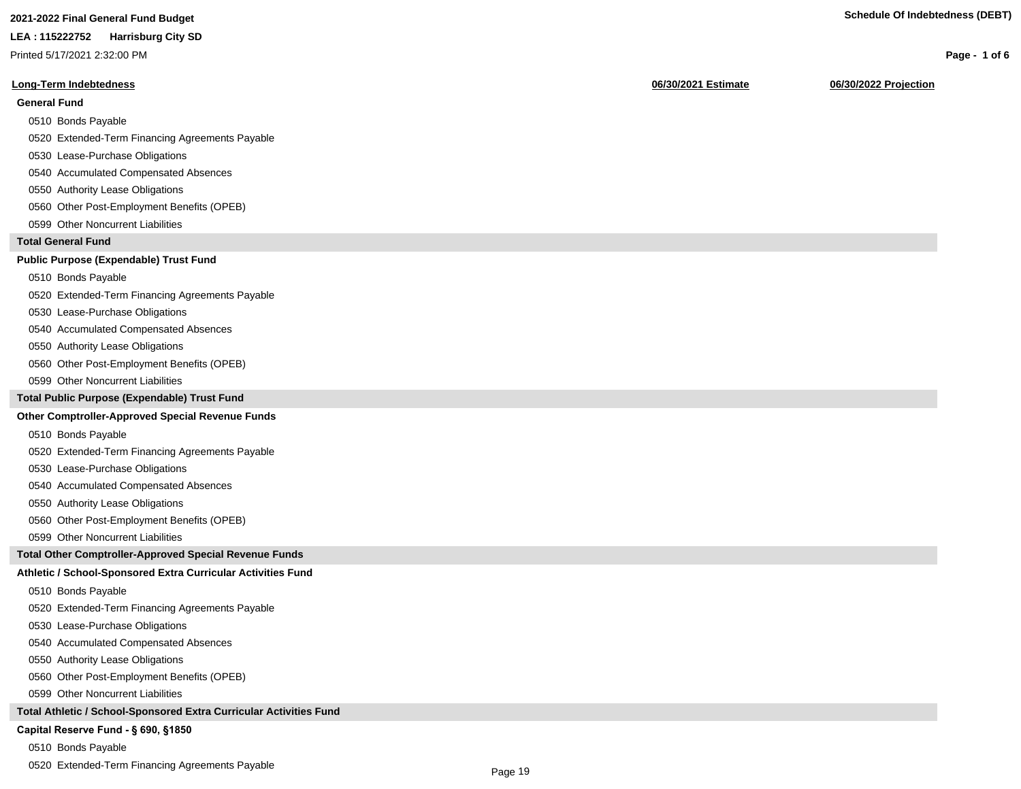# **2021-2022 Final General Fund Budget Schedule Of Indebtedness (DEBT)**

#### **LEA : 115222752 Harrisburg City SD**

Printed 5/17/2021 2:32:00 PM

#### **Long-Term Indebtedness 06/30/2021 Estimate 06/30/2022 Projection**

#### **General Fund**

- 0510 Bonds Payable
- 0520 Extended-Term Financing Agreements Payable
- 0530 Lease-Purchase Obligations
- 0540 Accumulated Compensated Absences
- 0550 Authority Lease Obligations
- 0560 Other Post-Employment Benefits (OPEB)
- 0599 Other Noncurrent Liabilities

### **Total General Fund**

### **Public Purpose (Expendable) Trust Fund**

- 0510 Bonds Payable
- 0520 Extended-Term Financing Agreements Payable
- 0530 Lease-Purchase Obligations
- 0540 Accumulated Compensated Absences
- 0550 Authority Lease Obligations
- 0560 Other Post-Employment Benefits (OPEB)
- 0599 Other Noncurrent Liabilities

#### **Total Public Purpose (Expendable) Trust Fund**

#### **Other Comptroller-Approved Special Revenue Funds**

- 0510 Bonds Payable
- 0520 Extended-Term Financing Agreements Payable
- 0530 Lease-Purchase Obligations
- 0540 Accumulated Compensated Absences
- 0550 Authority Lease Obligations
- 0560 Other Post-Employment Benefits (OPEB)
- 0599 Other Noncurrent Liabilities

#### **Total Other Comptroller-Approved Special Revenue Funds**

#### **Athletic / School-Sponsored Extra Curricular Activities Fund**

- 0510 Bonds Payable
- 0520 Extended-Term Financing Agreements Payable
- 0530 Lease-Purchase Obligations
- 0540 Accumulated Compensated Absences
- 0550 Authority Lease Obligations
- 0560 Other Post-Employment Benefits (OPEB)
- 0599 Other Noncurrent Liabilities

#### **Total Athletic / School-Sponsored Extra Curricular Activities Fund**

#### Capital Reserve Fund - § 690, §1850

- 0510 Bonds Payable
- 0520 Extended-Term Financing Agreements Payable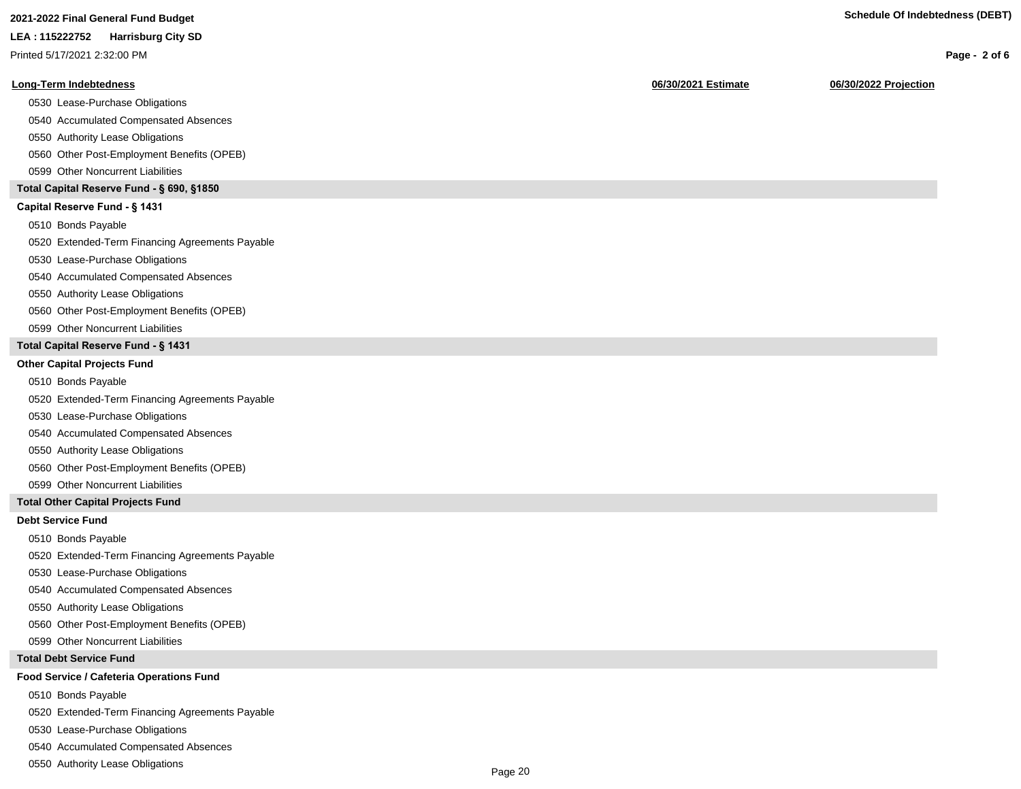|  | <b>ZUZ I-ZUZZ I IIIAI OCHCIAI I UNU DUUYCI</b> |  |
|--|------------------------------------------------|--|
|  |                                                |  |

Printed 5/17/2021 2:32:00 PM

#### **Long-Term Indebtedness 06/30/2021 Estimate 06/30/2022 Projection**

0530 Lease-Purchase Obligations

0540 Accumulated Compensated Absences

0550 Authority Lease Obligations

0560 Other Post-Employment Benefits (OPEB)

0599 Other Noncurrent Liabilities

### **Total Capital Reserve Fund - § 690, §1850**

### Capital Reserve Fund - § 1431

0510 Bonds Payable

0520 Extended-Term Financing Agreements Payable

0530 Lease-Purchase Obligations

0540 Accumulated Compensated Absences

#### 0550 Authority Lease Obligations

0560 Other Post-Employment Benefits (OPEB)

0599 Other Noncurrent Liabilities

#### **Total Capital Reserve Fund - § 1431**

#### **Other Capital Projects Fund**

0510 Bonds Payable

0520 Extended-Term Financing Agreements Payable

0530 Lease-Purchase Obligations

0540 Accumulated Compensated Absences

0550 Authority Lease Obligations

0560 Other Post-Employment Benefits (OPEB)

0599 Other Noncurrent Liabilities

### **Total Other Capital Projects Fund**

#### **Debt Service Fund**

0510 Bonds Payable

0520 Extended-Term Financing Agreements Payable

0530 Lease-Purchase Obligations

0540 Accumulated Compensated Absences

0550 Authority Lease Obligations

0560 Other Post-Employment Benefits (OPEB)

0599 Other Noncurrent Liabilities

#### **Total Debt Service Fund**

### **Food Service / Cafeteria Operations Fund**

0510 Bonds Payable

0520 Extended-Term Financing Agreements Payable

0530 Lease-Purchase Obligations

0540 Accumulated Compensated Absences

0550 Authority Lease Obligations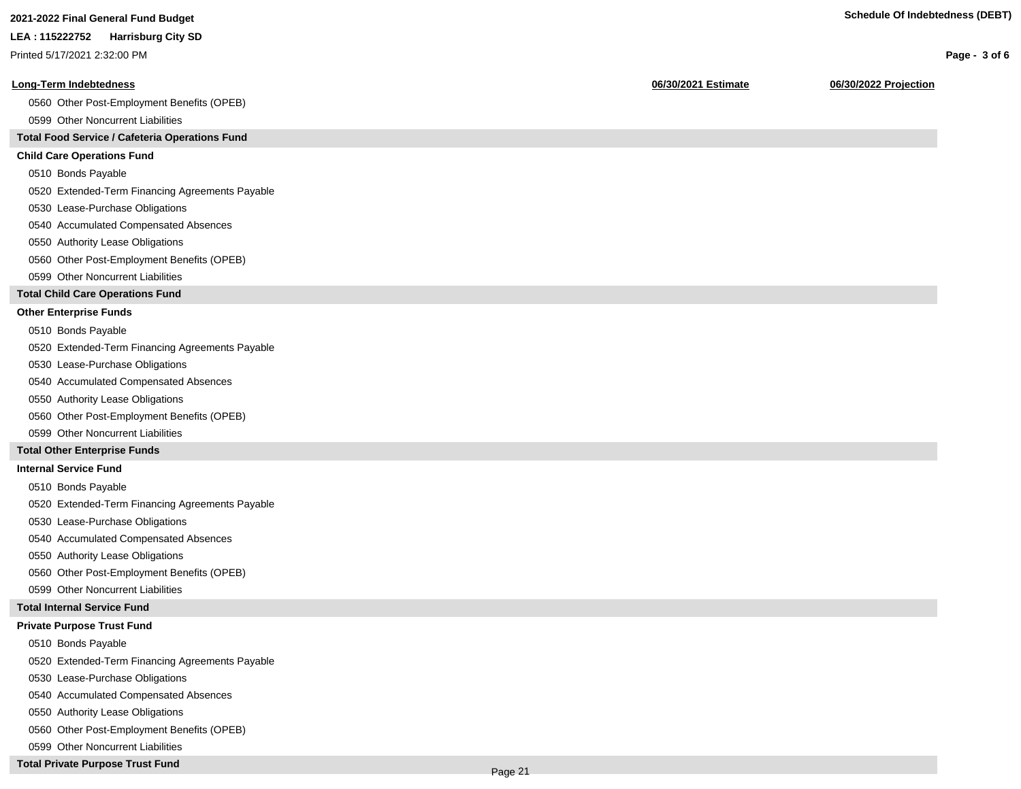Printed 5/17/2021 2:32:00 PM

#### **Long-Term Indebtedness 06/30/2021 Estimate 06/30/2022 Projection**

0560 Other Post-Employment Benefits (OPEB)

0599 Other Noncurrent Liabilities

## **Total Food Service / Cafeteria Operations Fund**

#### **Child Care Operations Fund**

0510 Bonds Payable

0520 Extended-Term Financing Agreements Payable

- 0530 Lease-Purchase Obligations
- 0540 Accumulated Compensated Absences
- 0550 Authority Lease Obligations
- 0560 Other Post-Employment Benefits (OPEB)
- 0599 Other Noncurrent Liabilities

#### **Total Child Care Operations Fund**

#### **Other Enterprise Funds**

- 0510 Bonds Payable
- 0520 Extended-Term Financing Agreements Payable
- 0530 Lease-Purchase Obligations
- 0540 Accumulated Compensated Absences
- 0550 Authority Lease Obligations
- 0560 Other Post-Employment Benefits (OPEB)
- 0599 Other Noncurrent Liabilities

#### **Total Other Enterprise Funds**

#### **Internal Service Fund**

- 0510 Bonds Payable
- 0520 Extended-Term Financing Agreements Payable
- 0530 Lease-Purchase Obligations
- 0540 Accumulated Compensated Absences
- 0550 Authority Lease Obligations
- 0560 Other Post-Employment Benefits (OPEB)
- 0599 Other Noncurrent Liabilities

#### **Total Internal Service Fund**

#### **Private Purpose Trust Fund**

- 0510 Bonds Payable
- 0520 Extended-Term Financing Agreements Payable
- 0530 Lease-Purchase Obligations
- 0540 Accumulated Compensated Absences
- 0550 Authority Lease Obligations
- 0560 Other Post-Employment Benefits (OPEB)
- 0599 Other Noncurrent Liabilities
- **Total Private Purpose Trust Fund**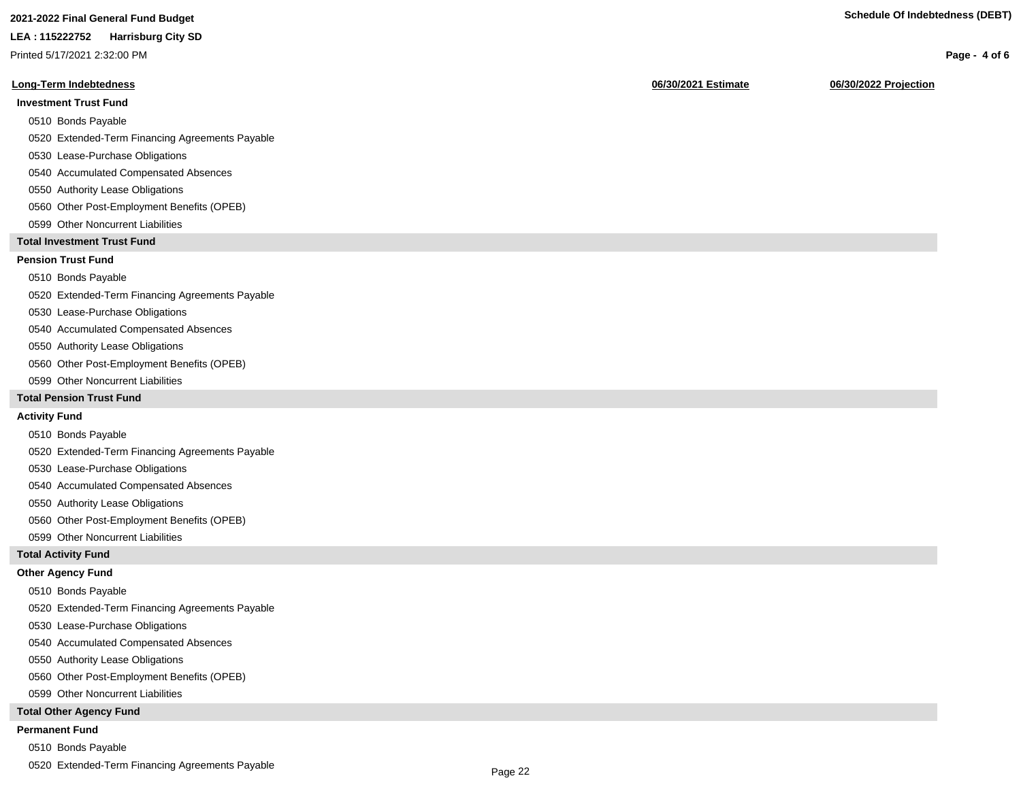# **2021-2022 Final General Fund Budget Schedule Of Indebtedness (DEBT)**

#### **LEA : 115222752 Harrisburg City SD**

Printed 5/17/2021 2:32:00 PM

#### **Long-Term Indebtedness 06/30/2021 Estimate 06/30/2022 Projection**

### **Investment Trust Fund**

- 0510 Bonds Payable
- 0520 Extended-Term Financing Agreements Payable
- 0530 Lease-Purchase Obligations
- 0540 Accumulated Compensated Absences
- 0550 Authority Lease Obligations
- 0560 Other Post-Employment Benefits (OPEB)
- 0599 Other Noncurrent Liabilities

### **Total Investment Trust Fund**

### **Pension Trust Fund**

#### 0510 Bonds Payable

- 0520 Extended-Term Financing Agreements Payable
- 0530 Lease-Purchase Obligations
- 0540 Accumulated Compensated Absences
- 0550 Authority Lease Obligations
- 0560 Other Post-Employment Benefits (OPEB)
- 0599 Other Noncurrent Liabilities

#### **Total Pension Trust Fund**

#### **Activity Fund**

- 0510 Bonds Payable
- 0520 Extended-Term Financing Agreements Payable
- 0530 Lease-Purchase Obligations
- 0540 Accumulated Compensated Absences
- 0550 Authority Lease Obligations
- 0560 Other Post-Employment Benefits (OPEB)
- 0599 Other Noncurrent Liabilities

#### **Total Activity Fund**

#### **Other Agency Fund**

- 0510 Bonds Payable
- 0520 Extended-Term Financing Agreements Payable
- 0530 Lease-Purchase Obligations
- 0540 Accumulated Compensated Absences
- 0550 Authority Lease Obligations
- 0560 Other Post-Employment Benefits (OPEB)
- 0599 Other Noncurrent Liabilities

#### **Total Other Agency Fund**

#### **Permanent Fund**

- 0510 Bonds Payable
- 0520 Extended-Term Financing Agreements Payable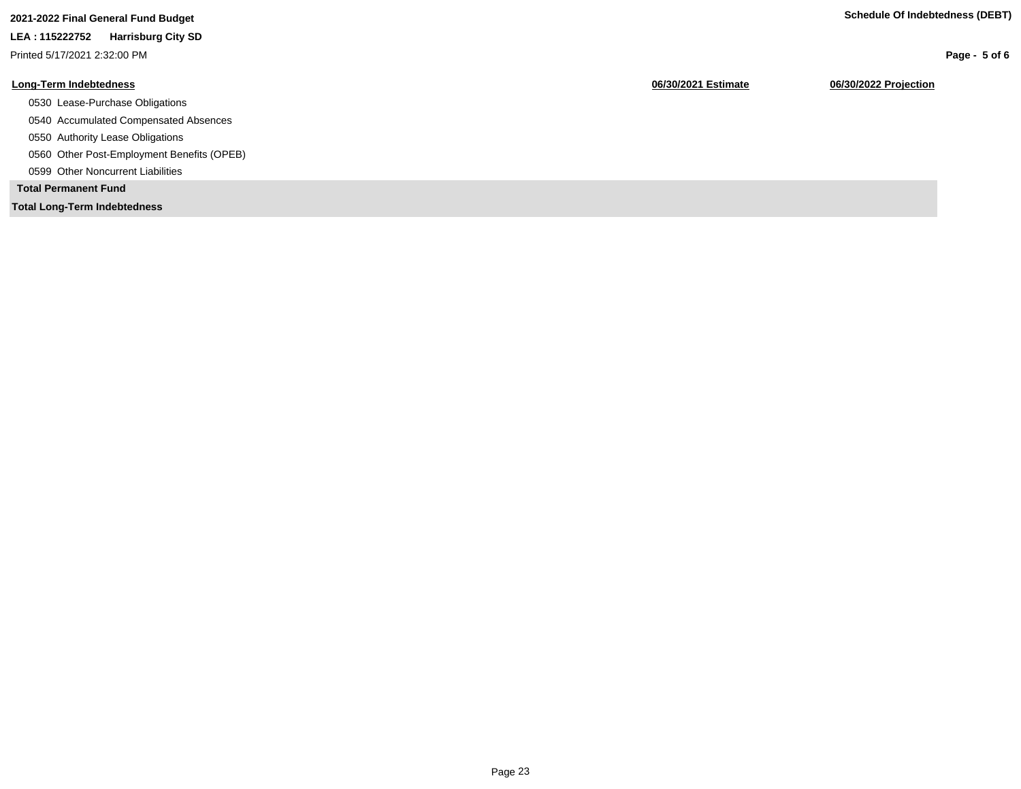**Page - 5 of 6**

# **LEA : 115222752 Harrisburg City SD**

Printed 5/17/2021 2:32:00 PM

# **Long-Term Indebtedness 06/30/2021 Estimate 06/30/2022 Projection**

- 0530 Lease-Purchase Obligations
- 0540 Accumulated Compensated Absences
- 0550 Authority Lease Obligations
- 0560 Other Post-Employment Benefits (OPEB)
- 0599 Other Noncurrent Liabilities

# **Total Permanent Fund**

**Total Long-Term Indebtedness**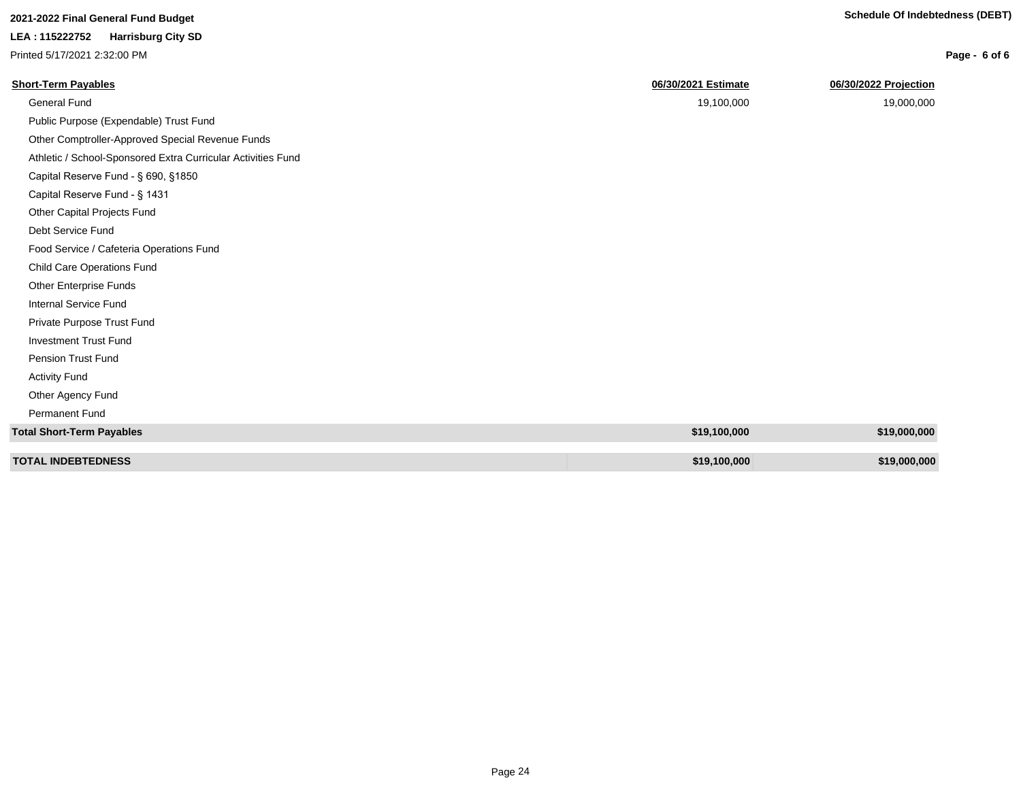| 2021-2022 Final General Fund Budget |  |  |
|-------------------------------------|--|--|
|-------------------------------------|--|--|

Printed 5/17/2021 2:32:00 PM

Permanent Fund

| Printed 5/17/2021 2:32:00 PM                                 |                     | Page - 6 of 6         |
|--------------------------------------------------------------|---------------------|-----------------------|
| <b>Short-Term Payables</b>                                   | 06/30/2021 Estimate | 06/30/2022 Projection |
| General Fund                                                 | 19,100,000          | 19,000,000            |
| Public Purpose (Expendable) Trust Fund                       |                     |                       |
| Other Comptroller-Approved Special Revenue Funds             |                     |                       |
| Athletic / School-Sponsored Extra Curricular Activities Fund |                     |                       |
| Capital Reserve Fund - § 690, §1850                          |                     |                       |
| Capital Reserve Fund - § 1431                                |                     |                       |
| Other Capital Projects Fund                                  |                     |                       |
| Debt Service Fund                                            |                     |                       |
| Food Service / Cafeteria Operations Fund                     |                     |                       |
| Child Care Operations Fund                                   |                     |                       |
| Other Enterprise Funds                                       |                     |                       |
| Internal Service Fund                                        |                     |                       |
| Private Purpose Trust Fund                                   |                     |                       |
| <b>Investment Trust Fund</b>                                 |                     |                       |
| Pension Trust Fund                                           |                     |                       |
| <b>Activity Fund</b>                                         |                     |                       |
| Other Agency Fund                                            |                     |                       |

| Total Short-Term Payables | \$19,100,000 | \$19,000,000 |
|---------------------------|--------------|--------------|
|                           |              |              |
| <b>TOTAL INDEBTEDNESS</b> | \$19,100,000 | \$19,000,000 |